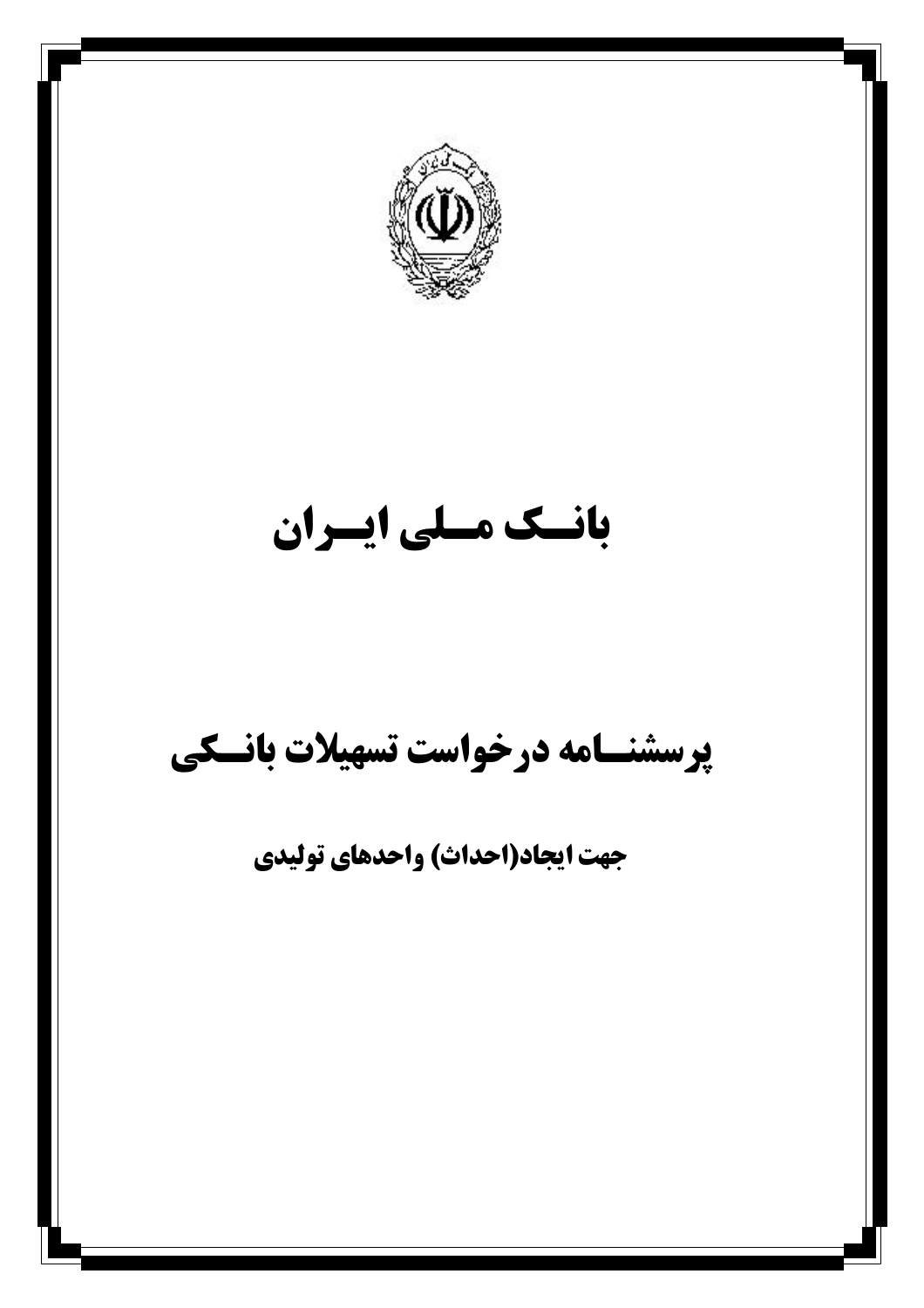

# بانسك مسلى ايسران

# پرسشنسامه درخواست تسهیلات بانسکی

جهت ایجاد(احداث) واحدهای تولیدی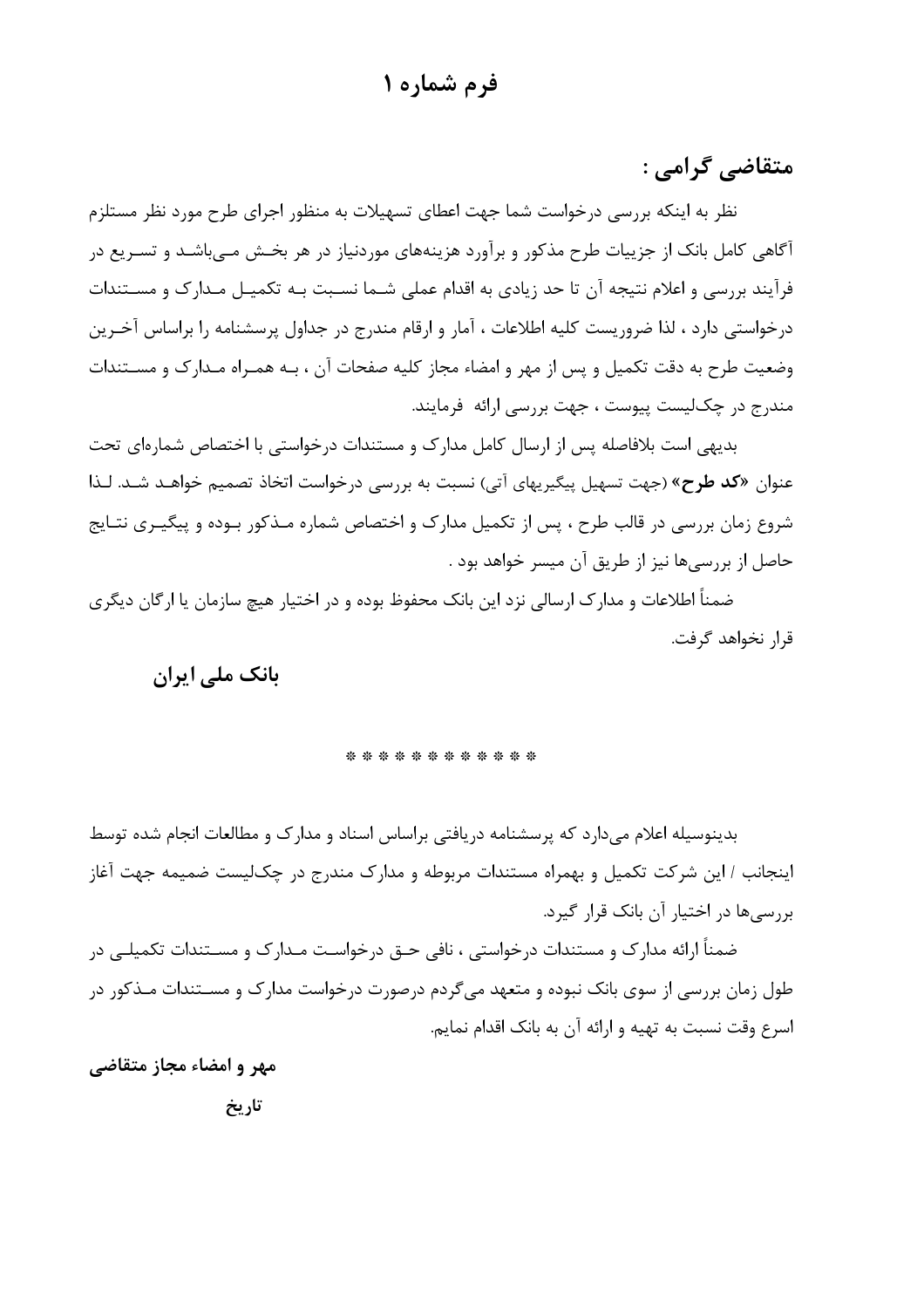#### فرم شماره ۱

متقاضے گرامے :

نظر به اینکه بررسی درخواست شما جهت اعطای تسهیلات به منظور اجرای طرح مورد نظر مستلزم آگاهی کامل بانک از جزییات طرح مذکور و برآورد هزینههای موردنیاز در هر بخـش مـیباشـد و تسـریع در فرآیند بررسی و اعلام نتیجه آن تا حد زیادی به اقدام عملی شـما نسـبت بـه تکمیـل مـدارک و مسـتندات درخواستی دارد ، لذا ضروریست کلیه اطلاعات ، آمار و ارقام مندرج در جداول پرسشنامه را براساس آخـرین وضعیت طرح به دقت تکمیل و پس از مهر و امضاء مجاز کلیه صفحات آن ، بـه همـراه مـدارک و مسـتندات مندرج در چکالیست پیوست ، جهت بررسی ارائه فرمایند.

بدیهی است بلافاصله پس از ارسال کامل مدارک و مستندات درخواستی با اختصاص شمارهای تحت عنوان «**کد طرح**» (جهت تسهیل پیگیریهای آتی) نسبت به بررسی درخواست اتخاذ تصمیم خواهـد شـد. لـذا شروع زمان بررسی در قالب طرح ، پس از تکمیل مدارک و اختصاص شماره مـذکور بـوده و پیگیـری نتـایج حاصل از بررسی،ها نیز از طریق آن میسر خواهد بود .

ضمناً اطلاعات و مدارک ارسالی نزد این بانک محفوظ بوده و در اختیار هیچ سازمان یا ارگان دیگری قرار نخواهد گرفت.

#### بانک ملے ایران

#### \* \* \* \* \* \* \* \* \* \* \* \*

بدینوسیله اعلام می دارد که پرسشنامه دریافتی براساس اسناد و مدارک و مطالعات انجام شده توسط اینجانب / این شرکت تکمیل و بهمراه مستندات مربوطه و مدارک مندرج در چک]لیست ضمیمه جهت اغاز بررسے ها در اختیار آن بانک قرار گیرد.

ضمناً ارائه مدارک و مستندات درخواستی ، نافی حـق درخواسـت مـدارک و مسـتندات تکمیلـی در طول زمان بررسی از سوی بانک نبوده و متعهد میگردم درصورت درخواست مدارک و مسـتندات مـذکور در اسرع وقت نسبت به تهیه و ارائه آن به بانک اقدام نمایم.

مهر و امضاء مجاز متقاضی

تاريخ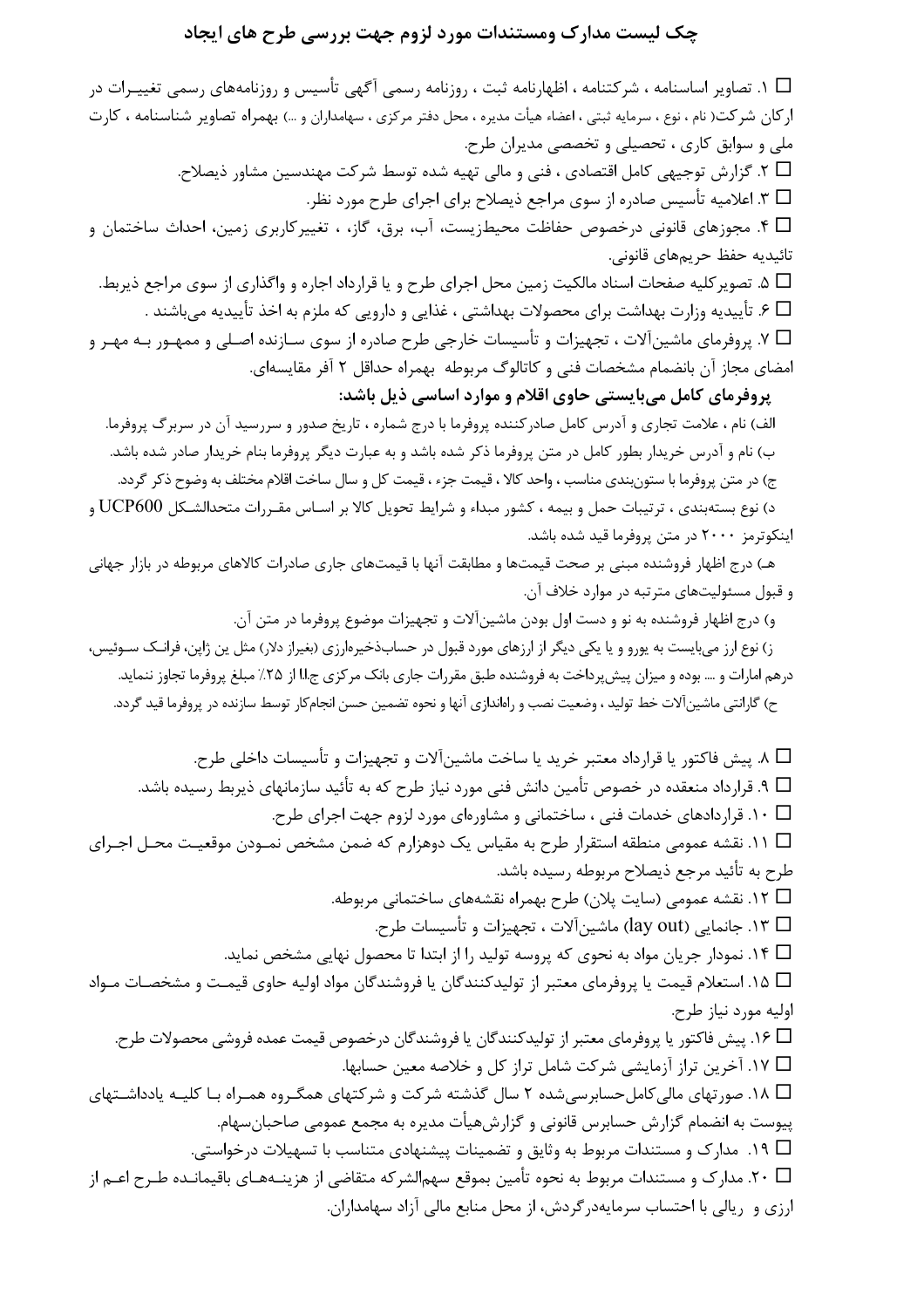#### چک لیست مدارک ومستندات مورد لزوم جهت بررسی طرح های ایجاد

ا. تصاویر اساسنامه ، شرکتنامه ، اظهارنامه ثبت ، روزنامه رسمی آگهی تأسیس و روزنامههای رسمی تغییـرات در  $\Box$ اركان شركت( نام ، نوع ، سرمايه ثبتي ، اعضاء هيأت مديره ، محل دفتر مركزي ، سهامداران و …) بهمراه تصاوير شناسنامه ، كارت ملی و سوابق کاری ، تحصیلی و تخصصی مدیران طرح. . T . گزارش توجیهی کامل اقتصادی ، فنی و مالی تهیه شده توسط شرکت مهندسین مشاور ذیصلاح  $\Box$ ∏ ۳. اعلامیه تأسیس صادره از سوی مراجع ذیصلاح برای اجرای طرح مورد نظر. ۴ سجوزهای قانونی درخصوص حفاظت محیطزیست، آب، برق، گاز، ، تغییرکاربری زمین، احداث ساختمان و  $\Box$ تائيديه حفظ حريمهاي قانوني. ه. تصویر کلیه صفحات اسناد مالکیت زمین محل اجرای طرح و یا قرارداد اجاره و واگذاری از سوی مراجع ذیربط.  $\Box$ □ ۶. تأييديه وزارت بهداشت براي محصولات بهداشتي ، غذايي و دارويي كه ملزم به اخذ تأييديه ميباشند . № 7. پروفرمای ماشینآلات ، تجهیزات و تأسیسات خارجی طرح صادره از سوی سـازنده اصـلی و ممهـور بـه مهـر و امضای مجاز آن بانضمام مشخصات فنی و کاتالوگ مربوطه بهمراه حداقل ۲ آفر مقایسهای. پروفرمای کامل میبایستی حاوی اقلام و موارد اساسی ذیل باشد: الف) نام ، علامت تجاري و آدرس كامل صادركننده پروفرما با درج شماره ، تاريخ صدور و سررسيد آن در سربرگ پروفرما. ب) نام و آدرس خریدار بطور کامل در متن پروفرما ذکر شده باشد و به عبارت دیگر پروفرما بنام خریدار صادر شده باشد. ج) در متن پروفرما با ستونبندي مناسب ، واحد كالا ، قيمت جزء ، قيمت كل و سال ساخت اقلام مختلف به وضوح ذكر گردد. د) نوع بستهبندی ، ترتیبات حمل و بیمه ، کشور مبداء و شرایط تحویل کالا بر اسـاس مقـررات متحدالشـکل UCP600 و اینکوترمز ۲۰۰۰ در متن پروفرما قید شده باشد. هـ) درج اظهار فروشنده مبنى بر صحت قيمتها و مطابقت آنها با قيمتهاى جارى صادرات كالاهاى مربوطه در بازار جهانى و قبول مسئوليتهاى مترتبه در موارد خلاف آن. و) درج اظهار فروشنده به نو و دست اول بودن ماشین[لات و تجهیزات موضوع پروفرما در متن آن. ز) نوع ارز می،بایست به پورو و یا یکی دیگر از ارزهای مورد قبول در حسابذخیرهارزی (بغیراز دلار) مثل ین ژاپن، فرانـک ســوئیس، درهم امارات و … بوده و میزان پیش پرداخت به فروشنده طبق مقررات جاری بانک مرکزی ج!! از ۲۵٪ مبلغ پروفرما تجاوز ننماید. ح) گارانتی ماشینآلات خط تولید ، وضعیت نصب و راهاندازی آنها و نحوه تضمین حسن انجامکار توسط سازنده در پروفرما قید گردد. ■ ٨. پیش فاکتور یا قرارداد معتبر خرید یا ساخت ماشینآلات و تجهیزات و تأسیسات داخلی طرح. □ ٩. قرارداد منعقده در خصوص تأمين دانش فني مورد نياز طرح كه به تأئيد سازمانهاي ذيربط رسيده باشد. د. قراردادهای خدمات فنی ، ساختمانی و مشاورهای مورد لزوم جهت اجرای طرح.  $\Box$ ا ۱۱. نقشه عمومی منطقه استقرار طرح به مقیاس یک دوهزارم که ضمن مشخص نمـودن موقعیـت محـل اجـرای  $\Box$ طرح به تأئيد مرجع ذيصلاح مربوطه رسيده باشد. □ ١٢. نقشه عمومي (سايت پلان) طرح بهمراه نقشههاي ساختماني مربوطه. □ ١٣. جانمایی (lay out) ماشینآلات ، تجهیزات و تأسیسات طرح. ■ ۱۴. نمودار جریان مواد به نحوی که پروسه تولید را از ابتدا تا محصول نهایی مشخص نماید. ا ۱۵. استعلام قیمت یا پروفرمای معتبر از تولیدکنندگان یا فروشندگان مواد اولیه حاوی قیمت و مشخصـات مـواد  $\Box$ اوليه مورد نياز طرح. № 1۶. پیش فاکتور یا پروفرمای معتبر از تولیدکنندگان یا فروشندگان درخصوص قیمت عمده فروشی محصولات طرح. ا ۱۷. آخرین تراز آزمایشی شرکت شامل تراز کل و خلاصه معین حسابها. $\Box$ ■ ۱۸. صورتهای مالی کامل<سابرسی شده ۲ سال گذشته شرکت و شرکتهای همگـروه همـراه بـا کلیـه یادداشـتهای پیوست به انضمام گزارش حسابرس قانونی و گزارشهیأت مدیره به مجمع عمومی صاحبانِ هام. □ ١٩. مدارک و مستندات مربوط به وثايق و تضمينات پيشنهادي متناسب با تسهيلات درخواستي. ∏ ۲۰. مدارک و مستندات مربوط به نحوه تأمین بموقع سهم|لشرکه متقاضی از هزینــههـای باقیمانــده طـرح اعــم از ارزی و ریالی با احتساب سرمایهدر گردش، از محل منابع مالی آزاد سهامداران.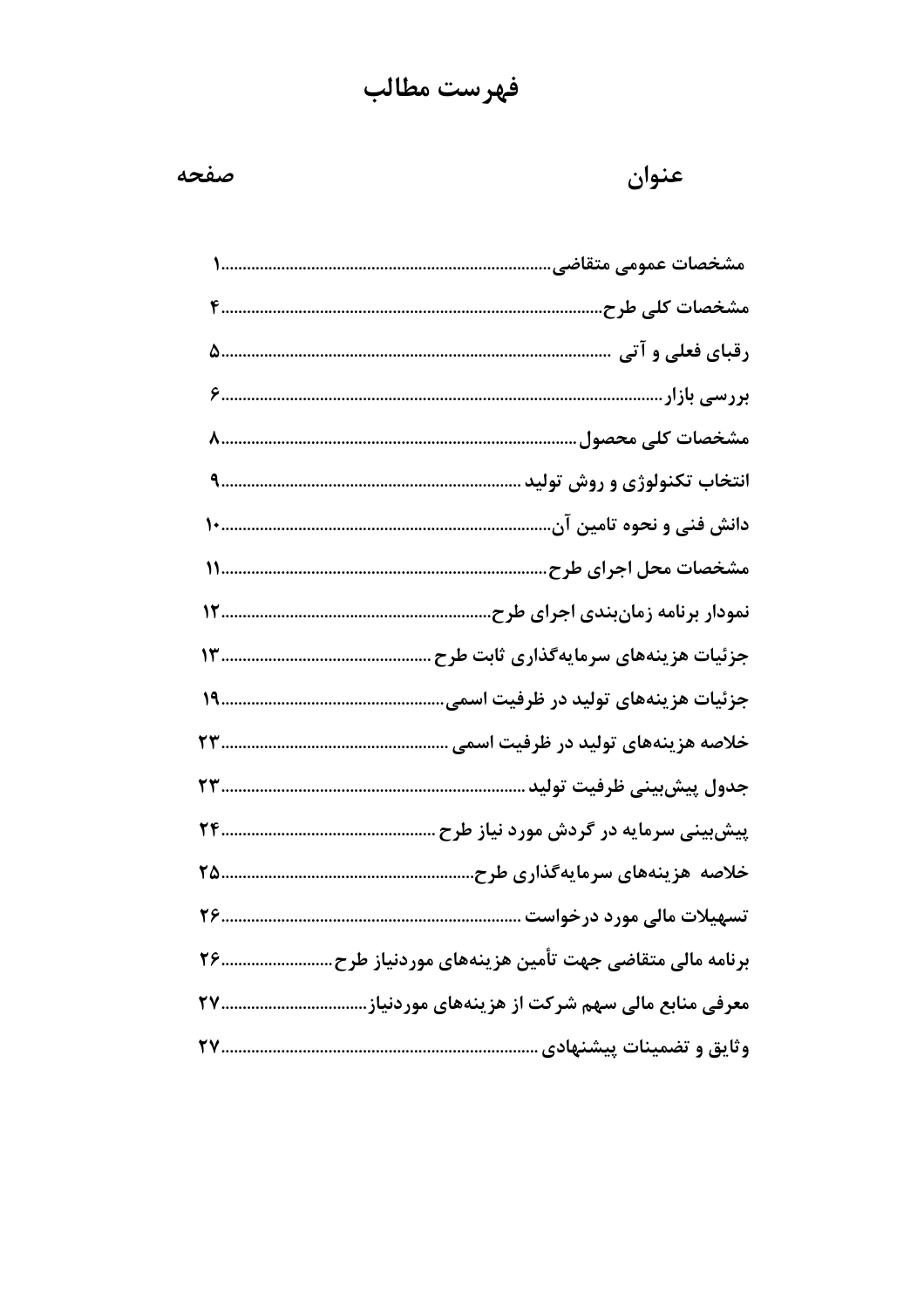# فهرست مطالب

#### صفحه

| مشخصات عمومی متقاضی.                                          |
|---------------------------------------------------------------|
| مشخصات کلی طرح.                                               |
|                                                               |
|                                                               |
| مشخصات كلى محصول                                              |
| انتخاب تکنولوژی و روش تولید                                   |
| دانش فنی و نحوه تامین آن.                                     |
| مشخصات محل اجرای طرح                                          |
| نمودار برنامه زمانبندی اجرای طرح                              |
| جزئیات هزینههای سرمایهگذاری ثابت طرح                          |
| جزئیات هزینههای تولید در ظرفیت اسم <i>ی</i>                   |
| خلاصه هزینههای تولید در ظرفیت اسم <i>ی</i> .                  |
| جدول پیشبینی ظرفیت تولید                                      |
| پیشبینی سرمایه در گردش مورد نیاز طرح                          |
| خلاصه هزینههای سرمایهگذاری طرح                                |
|                                                               |
| برنامه مالی متقاضی جهت تأمین هزینههای موردنیاز طرح<br>79      |
| معرفی منابع مالی سهم شرکت از هزینههای موردنیاز.<br><u> TV</u> |
| وثایق و تضمینات پیشنهادی                                      |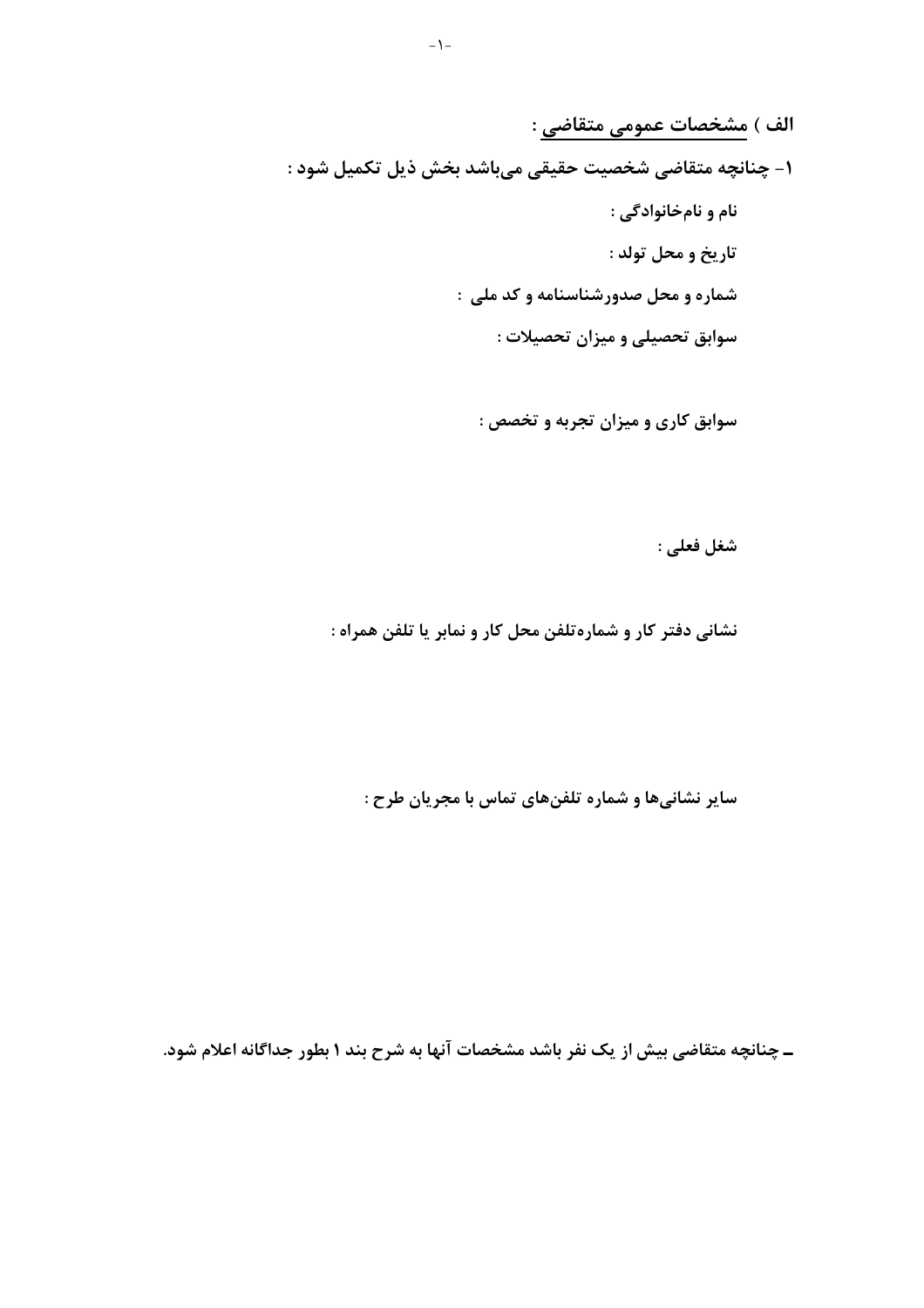الف ) مشخصات عمومي متقاضي :

1- چنانچه متقاضی شخصیت حقیقی میباشد بخش ذیل تکمیل شود :

نام و نامخانوادگی : تاريخ و محل تولد : شماره و محل صدورشناسنامه و کد ملی : سوابق تحصیلی و میزان تحصیلات :

سوابق کاری و میزان تجربه و تخصص :

شغل فعلي :

نشانی دفتر کار و شمارهتلفن محل کار و نمابر یا تلفن همراه :

سایر نشانیها و شماره تلفنهای تماس با مجریان طرح :

ـ چنانچه متقاضی بیش از یک نفر باشد مشخصات آنها به شرح بند ۱ بطور جداگانه اعلام شود.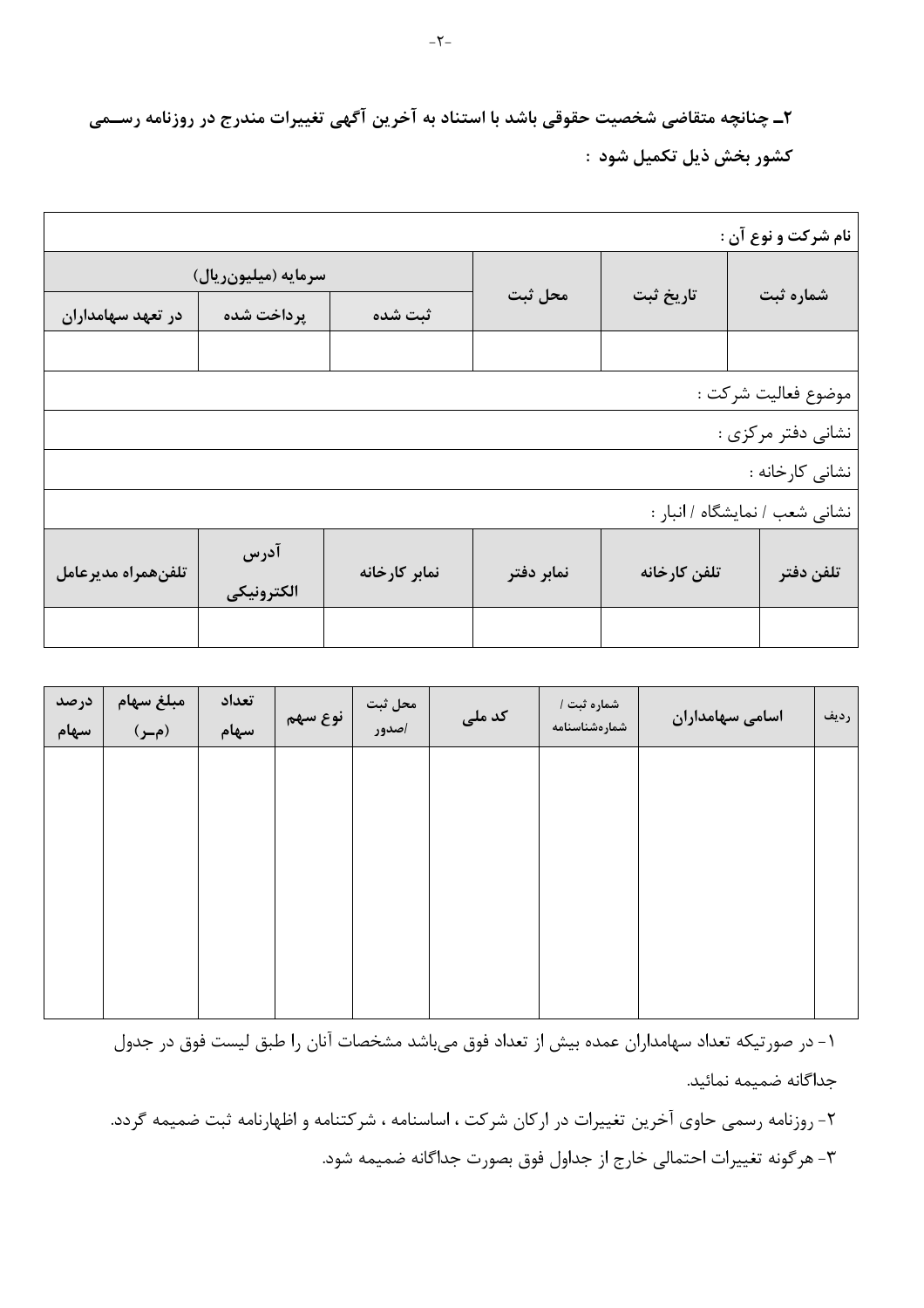۲ـ چنانچه متقاضی شخصیت حقوقی باشد با استناد به آخرین آگهی تغییرات مندرج در روزنامه رســمی كشور بخش ذيل تكميل شود :

|                     |                     |               |            |              | نام شرکت و نوع آن :            |
|---------------------|---------------------|---------------|------------|--------------|--------------------------------|
|                     | سرمايه (ميليونريال) |               |            |              |                                |
| در تعهد سهامداران   | پرداخت شده          | ثبت شده       | محل ثبت    | تاريخ ثبت    | شماره ثبت                      |
|                     |                     |               |            |              |                                |
|                     |                     |               |            |              | موضوع فعاليت شركت :            |
|                     |                     |               |            |              | نشانی دفتر مرکزی :             |
|                     |                     |               |            |              | ٰ نشانی کارخانه :              |
|                     |                     |               |            |              | نشانی شعب / نمایشگاه / انبار : |
| تلفن همراه مديرعامل | آدرس<br>الكترونيكي  | نمابر کارخانه | نمابر دفتر | تلفن كارخانه | تلفن دفتر                      |
|                     |                     |               |            |              |                                |

| درصد<br>سهام | مبلغ سهام<br>(م_ر) | تعداد<br>سهام | نوع سهم | محل ثبت<br>اصدور | کد ملی | شماره ثبت /<br>شمارەشناسنامە | اسامی سهامداران | رديف |
|--------------|--------------------|---------------|---------|------------------|--------|------------------------------|-----------------|------|
|              |                    |               |         |                  |        |                              |                 |      |
|              |                    |               |         |                  |        |                              |                 |      |
|              |                    |               |         |                  |        |                              |                 |      |
|              |                    |               |         |                  |        |                              |                 |      |
|              |                    |               |         |                  |        |                              |                 |      |

١- در صورتيكه تعداد سهامداران عمده بيش از تعداد فوق مي باشد مشخصات آنان را طبق ليست فوق در جدول جداگانه ضمیمه نمائید.

۲- روزنامه رسمی حاوی آخرین تغییرات در ارکان شرکت ، اساسنامه ، شرکتنامه و اظهارنامه ثبت ضمیمه گردد. ۳- هرگونه تغییرات احتمالی خارج از جداول فوق بصورت جداگانه ضمیمه شود.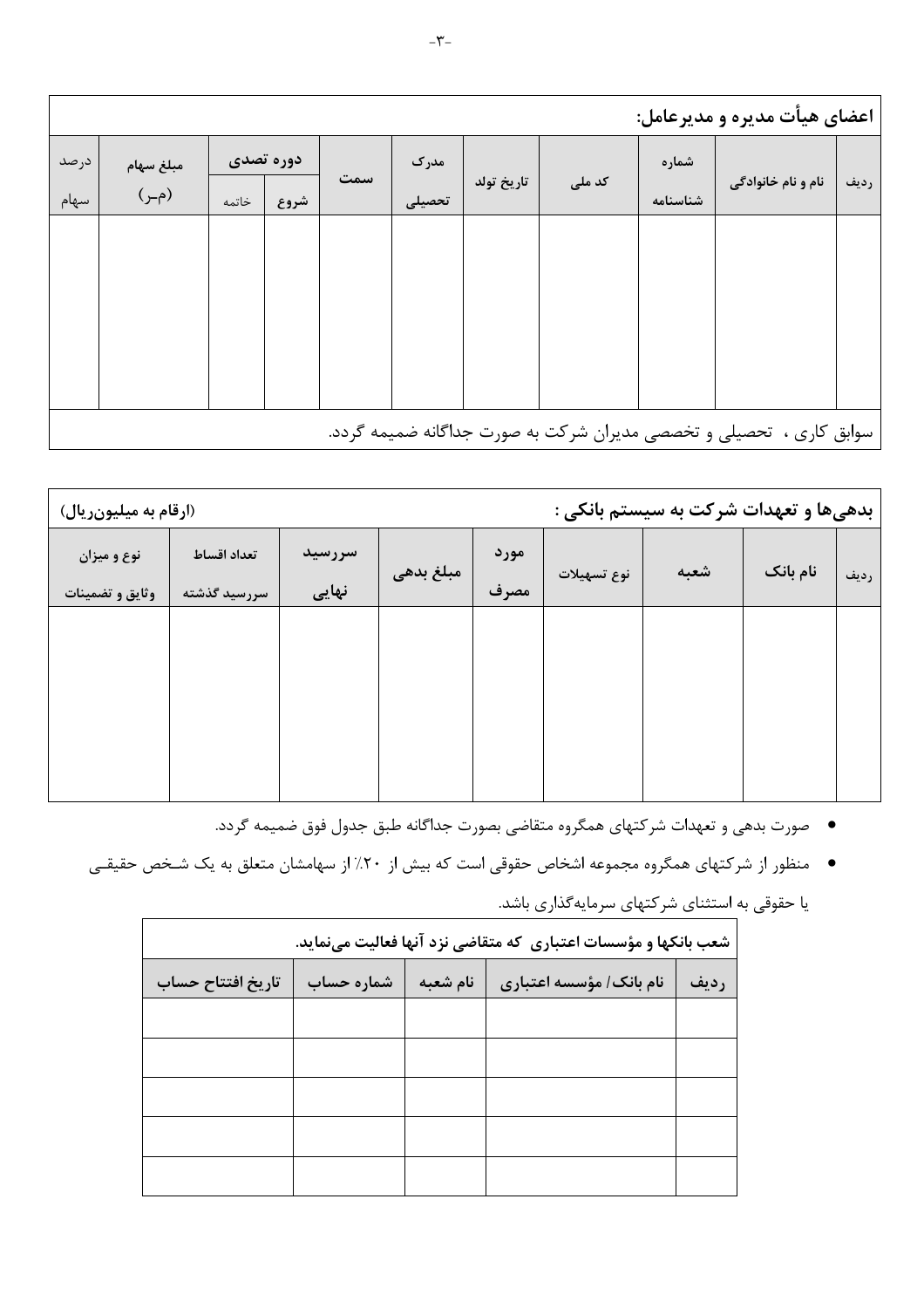|      | اعضای هیأت مدیره و مدیرعامل: |       |           |     |        |            |        |          |                                                                      |      |
|------|------------------------------|-------|-----------|-----|--------|------------|--------|----------|----------------------------------------------------------------------|------|
| درصد | مبلغ سهام                    |       | دوره تصدی |     | مدرک   |            |        | شماره    |                                                                      |      |
| سهام | (م_ر)                        | خاتمه | شروع      | سمت | تحصيلى | تاريخ تولد | کد ملی | شناسنامه | نام و نام خانوادگی                                                   | رديف |
|      |                              |       |           |     |        |            |        |          |                                                                      |      |
|      |                              |       |           |     |        |            |        |          |                                                                      |      |
|      |                              |       |           |     |        |            |        |          |                                                                      |      |
|      |                              |       |           |     |        |            |        |          |                                                                      |      |
|      |                              |       |           |     |        |            |        |          |                                                                      |      |
|      |                              |       |           |     |        |            |        |          | سوابق کاری ،  تحصیلی و تخصصی مدیران شرکت به صورت جداگانه ضمیمه گردد. |      |

| (ارقام به میلیونریال)          |                             | بدهی ها و تعهدات شرکت به سیستم بانکی : |           |              |             |      |          |      |
|--------------------------------|-----------------------------|----------------------------------------|-----------|--------------|-------------|------|----------|------|
| نوع و میزان<br>وثايق و تضمينات | تعداد اقساط<br>سررسید گذشته | سررسید<br>نهایی                        | مبلغ بدهى | مورد<br>مصرف | نوع تسهيلات | شعبه | نام بانک | رديف |
|                                |                             |                                        |           |              |             |      |          |      |
|                                |                             |                                        |           |              |             |      |          |      |
|                                |                             |                                        |           |              |             |      |          |      |
|                                |                             |                                        |           |              |             |      |          |      |

- ٪ صورت بدهی و تعهدات شرکتهای همگروه متقاضی بصورت جداگانه طبق جدول فوق ضمیمه گردد.
- منظور از شرکتهای همگروه مجموعه اشخاص حقوقی است که بیش از ۲۰٪ از سهامشان متعلق به یک شـخص حقیقـی

| شعب بانکها و مؤسسات اعتباری که متقاضی نزد آنها فعالیت مینماید. |            |          |                         |      |  |  |  |  |  |
|----------------------------------------------------------------|------------|----------|-------------------------|------|--|--|--|--|--|
| تاريخ افتتاح حساب                                              | شماره حساب | نام شعبه | نام بانک/ مؤسسه اعتباری | رديف |  |  |  |  |  |
|                                                                |            |          |                         |      |  |  |  |  |  |
|                                                                |            |          |                         |      |  |  |  |  |  |
|                                                                |            |          |                         |      |  |  |  |  |  |
|                                                                |            |          |                         |      |  |  |  |  |  |
|                                                                |            |          |                         |      |  |  |  |  |  |

یا حقوقی به استثنای شرکتهای سرمایهگذاری باشد.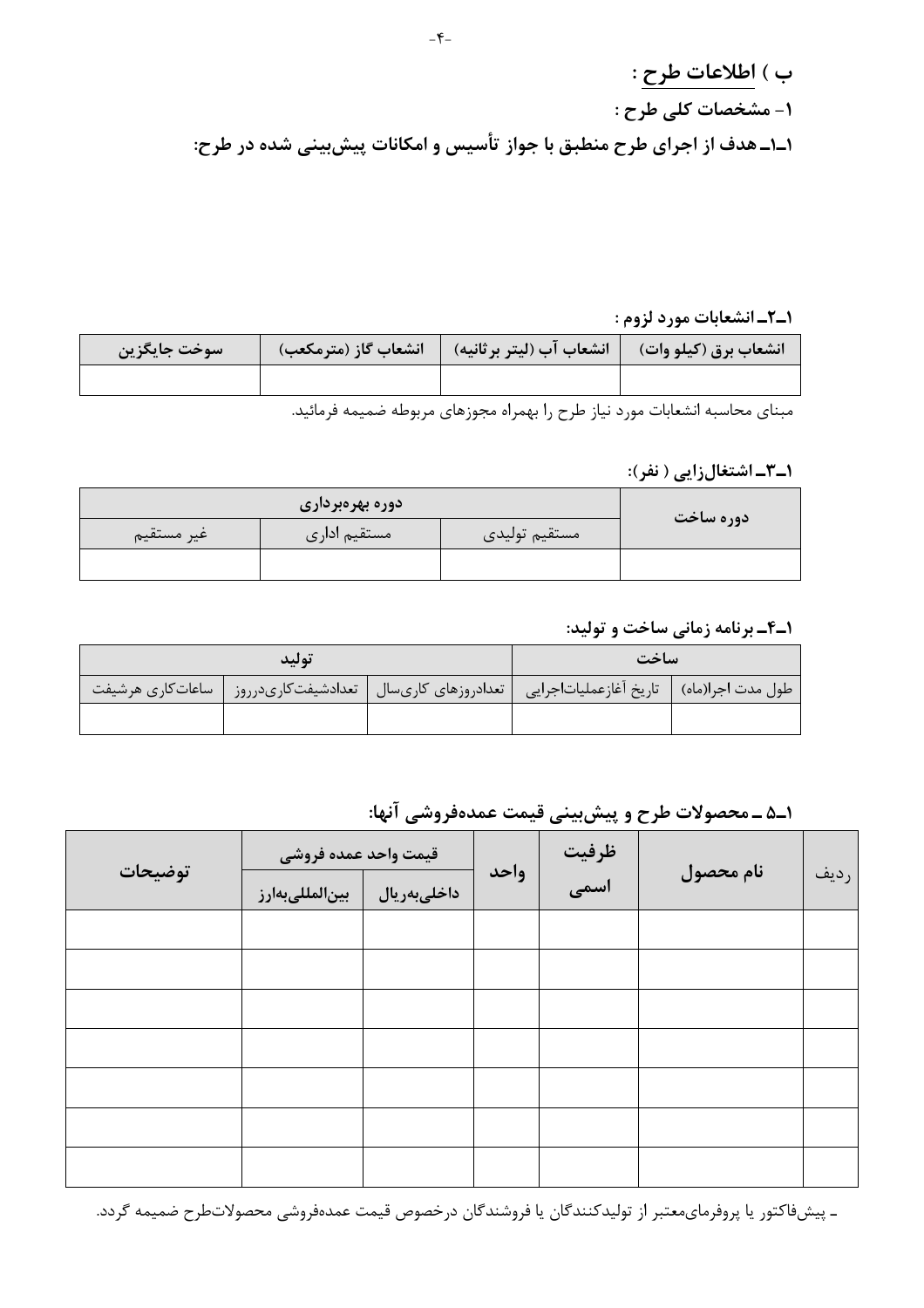ب ) اطلاعات طرح : ١- مشخصات كلى طرح : ۱ـ۱ـ هدف از اجرای طرح منطبق با جواز تأسیس و امکانات پیشبینی شده در طرح:

1\_2\_ انشعابات مورد لزوم :

| سوخت جايگزين | انشعاب برق (كيلو وات)      انشعاب آب (ليتر برثانيه)       انشعاب گاز (مترمكعب) |  |
|--------------|--------------------------------------------------------------------------------|--|
|              |                                                                                |  |

مبناي محاسبه انشعابات مورد نياز طرح را بهمراه مجوزهاي مربوطه ضميمه فرمائيد.

#### ۱ـ۳ـاشتغالزايي ( نفر):

| غير مستقيم | مستقيم ادارى | مستقيم توليدي | دوره ساخت |
|------------|--------------|---------------|-----------|
|            |              |               |           |

#### ۱ـ۴ـ برنامه زمانی ساخت و تولید:

|                   | تولىد               | ساخت                |                                            |  |
|-------------------|---------------------|---------------------|--------------------------------------------|--|
| ساعات کاری هرشیفت | تعدادشيفت كارىدرروز | تعدادروزهای کاریسال | طول مدت اجرا(ماه)   تاريخ أغازعمليات جرايي |  |
|                   |                     |                     |                                            |  |

١ـ۵ ـ محصولات طرح و پيش بيني قيمت عمدهفروشي آنها:

| توضيحات | قيمت واحد عمده فروشي |             | ظرفیت<br>اسمی |  |           |      |
|---------|----------------------|-------------|---------------|--|-----------|------|
|         | بين لمللىبه رز       | داخلىبەريال | واحد          |  | نام محصول | رديف |
|         |                      |             |               |  |           |      |
|         |                      |             |               |  |           |      |
|         |                      |             |               |  |           |      |
|         |                      |             |               |  |           |      |
|         |                      |             |               |  |           |      |
|         |                      |             |               |  |           |      |
|         |                      |             |               |  |           |      |

ـ پیشفاکتور یا پروفرمایمعتبر از تولیدکنندگان یا فروشندگان درخصوص قیمت عمدهفروشی محصولاتطرح ضمیمه گردد.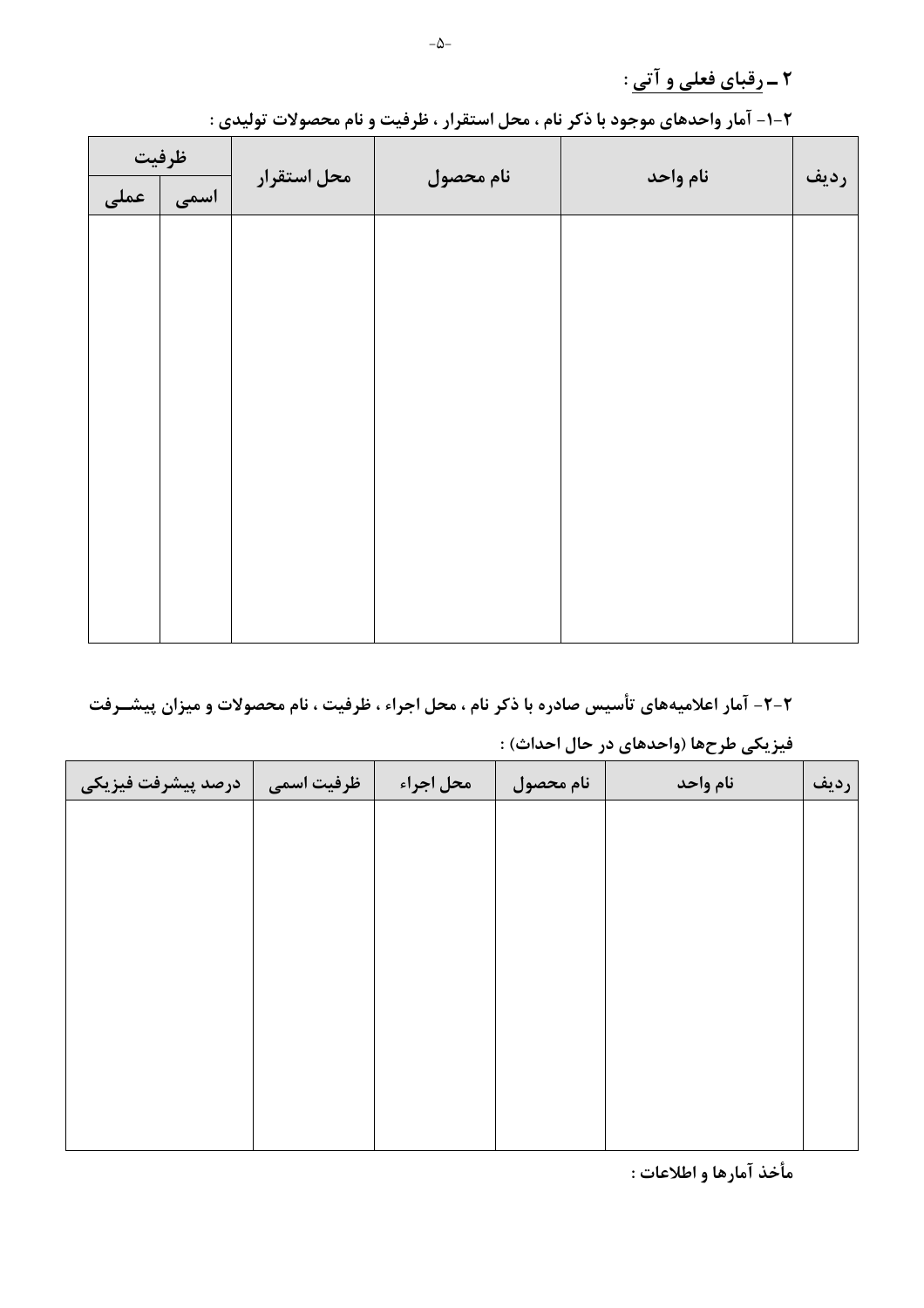٢ ـ رقباي فعلى و آتى :

| ظرفيت |      |             |           |          |      |
|-------|------|-------------|-----------|----------|------|
| عملی  | اسمى | محل استقرار | نام محصول | نام واحد | رديف |
|       |      |             |           |          |      |
|       |      |             |           |          |      |
|       |      |             |           |          |      |
|       |      |             |           |          |      |
|       |      |             |           |          |      |
|       |      |             |           |          |      |
|       |      |             |           |          |      |
|       |      |             |           |          |      |
|       |      |             |           |          |      |
|       |      |             |           |          |      |
|       |      |             |           |          |      |

۲-۱- آمار واحدهای موجود با ذکر نام ، محل استقرار ، ظرفیت و نام محصولات تولیدی :

#### ۲-۲- آمار اعلامیههای تأسیس صادره با ذکر نام ، محل اجراء ، ظرفیت ، نام محصولات و میزان پیشــرفت

|                    |              |           |           | --       |      |
|--------------------|--------------|-----------|-----------|----------|------|
| درصد پیشرفت فیزیکی | ً ظرفیت اسمی | محل اجراء | نام محصول | نام واحد | رديف |
|                    |              |           |           |          |      |
|                    |              |           |           |          |      |
|                    |              |           |           |          |      |
|                    |              |           |           |          |      |
|                    |              |           |           |          |      |
|                    |              |           |           |          |      |
|                    |              |           |           |          |      |
|                    |              |           |           |          |      |
|                    |              |           |           |          |      |
|                    |              |           |           |          |      |

#### فيزيكي طرحها (واحدهاي در حال احداث) :

مأخذ آمارها و اطلاعات :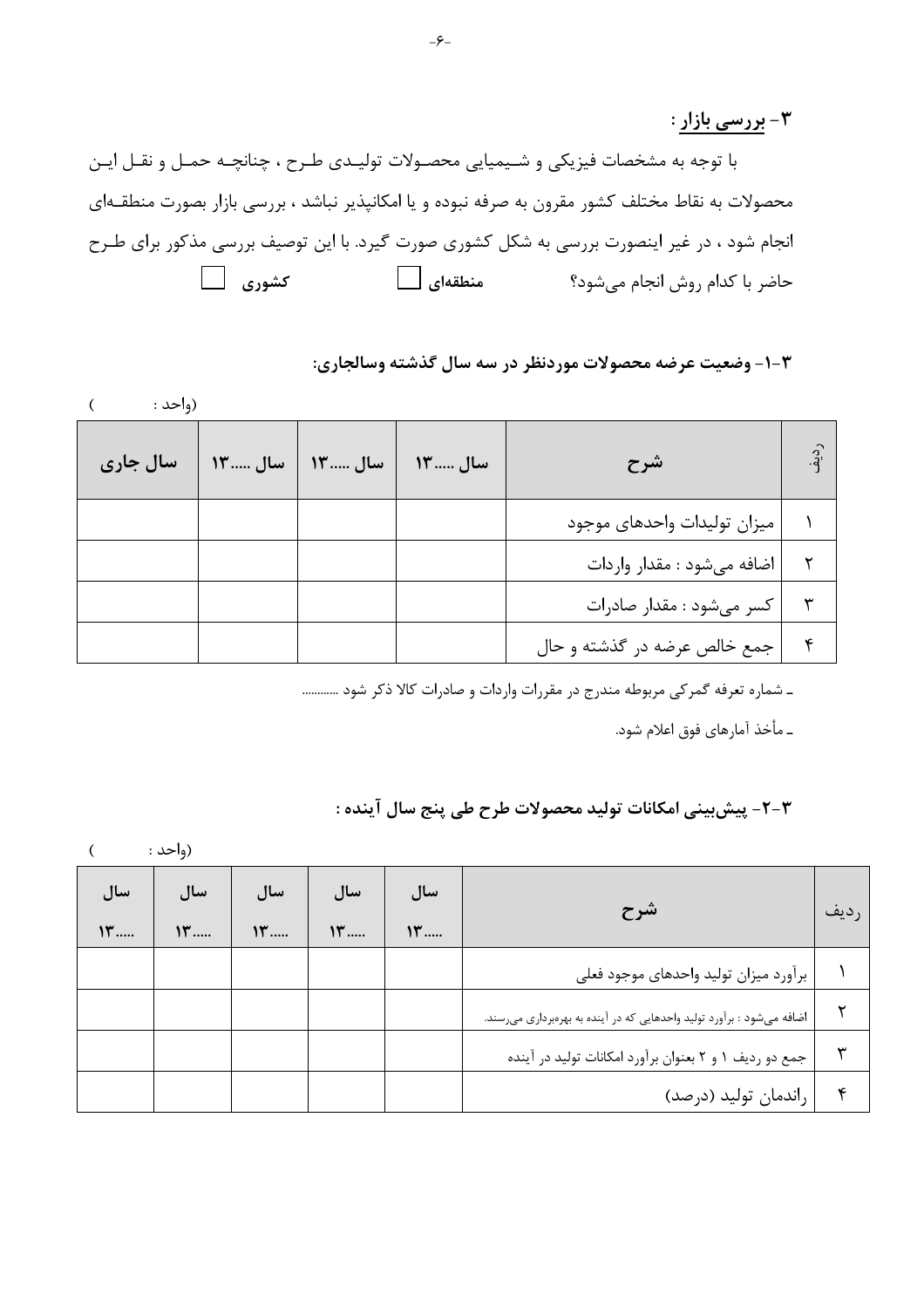۳- بررسی بازار :

با توجه به مشخصات فیزیکی و شـیمیایی محصـولات تولیـدی طـرح ، چنانچـه حمـل و نقـل ایـن محصولات به نقاط مختلف کشور مقرون به صرفه نبوده و یا امکانپذیر نباشد ، بررسی بازار بصورت منطقــهای انجام شود ، در غیر اینصورت بررسی به شکل کشوری صورت گیرد. با این توصیف بررسی مذکور برای طـرح کشوری ⊡ منطقهای کے ا حاضر با کدام روش انجام می شود؟

#### ۱-۳- وضعیت عرضه محصولات موردنظر در سه سال گذشته وسالجاری:

| (واحد :  |         |         |         |                              |               |
|----------|---------|---------|---------|------------------------------|---------------|
| سال جاري | سال  ١٣ | سال  ۱۳ | سال  ١٣ | شرح                          | $\frac{1}{2}$ |
|          |         |         |         | ميزان توليدات واحدهاى موجود  |               |
|          |         |         |         | اضافه میشود : مقدار واردات   |               |
|          |         |         |         | کسر میشود : مقدار صادرات     | ۳             |
|          |         |         |         | جمع خالص عرضه در گذشته و حال | ۴             |

ـ شماره تعرفه گمرکی مربوطه مندرج در مقررات واردات و صادرات کالا ذکر شود ............

ــ مأخذ آمارهاي فوق اعلام شود.

#### ٢-٣- پيشبيني امكانات توليد محصولات طرح طي پنج سال آينده :

 $\overline{(\ }$ (واحد :

| سال<br>$\Upsilon$ | سال<br>$\Upsilon$ | سال<br>$\Upsilon$ | سال<br>$\Upsilon$ | سال<br>$\mathcal{W}$ | شرح                                                                   | رديف |
|-------------------|-------------------|-------------------|-------------------|----------------------|-----------------------------------------------------------------------|------|
|                   |                   |                   |                   |                      | برآورد ميزان توليد واحدهاى موجود فعلى                                 |      |
|                   |                   |                   |                   |                      | اضافه میشود : برآورد تولید واحدهایی که در آینده به بهرهبرداری میرسند. |      |
|                   |                   |                   |                   |                      | جمع دو ردیف ۱ و ۲ بعنوان برآورد امکانات تولید در آینده                | ۳    |
|                   |                   |                   |                   |                      | راندمان توليد (درصد)                                                  | ۴    |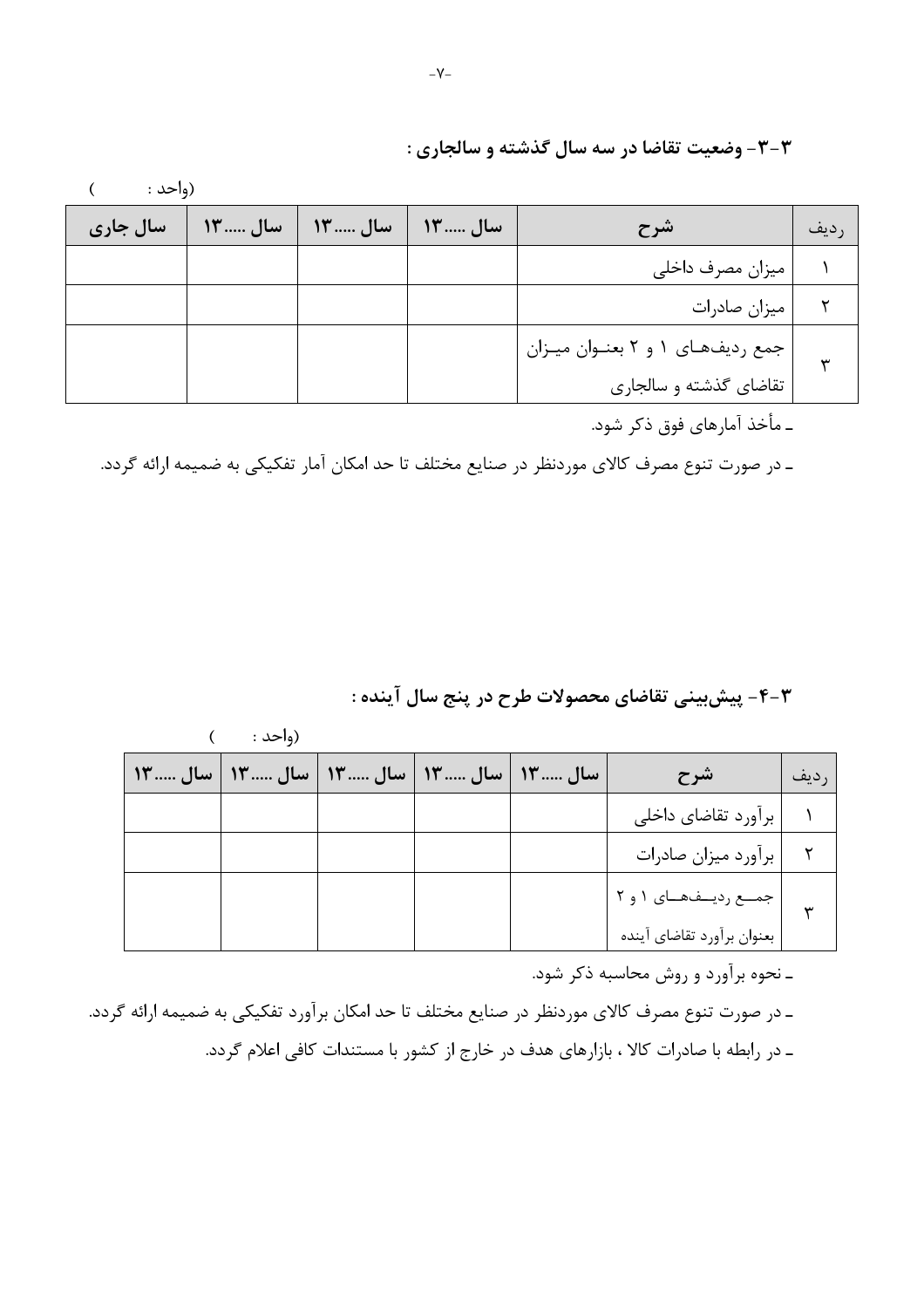#### ۳-۳- وضعیت تقاضا در سه سال گذشته و سالجاری :

 $\overline{(\ }$ (واحد :

| سال جاري | ِ سال  ۱۳ | ِ سال  ۱۳ | سال  ١٣ | شرح                                | ِديف |
|----------|-----------|-----------|---------|------------------------------------|------|
|          |           |           |         | میزان مصرف داخلی                   |      |
|          |           |           |         | ميزان صادرات                       |      |
|          |           |           |         | جمع ردیفهای ۱ و ۲ بعنـوان میـزان ا |      |
|          |           |           |         | تقاضاي گذشته و سالجاري             |      |

ـ مأخذ آمارهای فوق ذکر شود.

ـ در صورت تنوع مصرف كالاي موردنظر در صنايع مختلف تا حد امكان آمار تفكيكي به ضميمه ارائه گردد.

#### ۴-۳- پیشبینی تقاضای محصولات طرح در پنج سال آینده :

|                                                 | (واحد : |  |                                  |      |
|-------------------------------------------------|---------|--|----------------------------------|------|
| سال  ۱۳   سال  ۱۳   سال  ۱۳   سال  ۱۳   سال  ۱۳ |         |  | اشرح                             | رديف |
|                                                 |         |  | برآورد تقاضاي داخلي              |      |
|                                                 |         |  | برآورد میزان صادرات              |      |
|                                                 |         |  | ۲   جمــع ردیــفهــای ۱ و ۲<br>۳ |      |
|                                                 |         |  | بعنوان برأورد تقاضاي أينده       |      |

ـ نحوه برآورد و روش محاسبه ذکر شود.

ـ در صورت تنوع مصرف كالاي موردنظر در صنايع مختلف تا حد امكان برآورد تفكيكي به ضميمه ارائه گردد. ـ در رابطه با صادرات کالا ، بازارهای هدف در خارج از کشور با مستندات کافی اعلام گردد.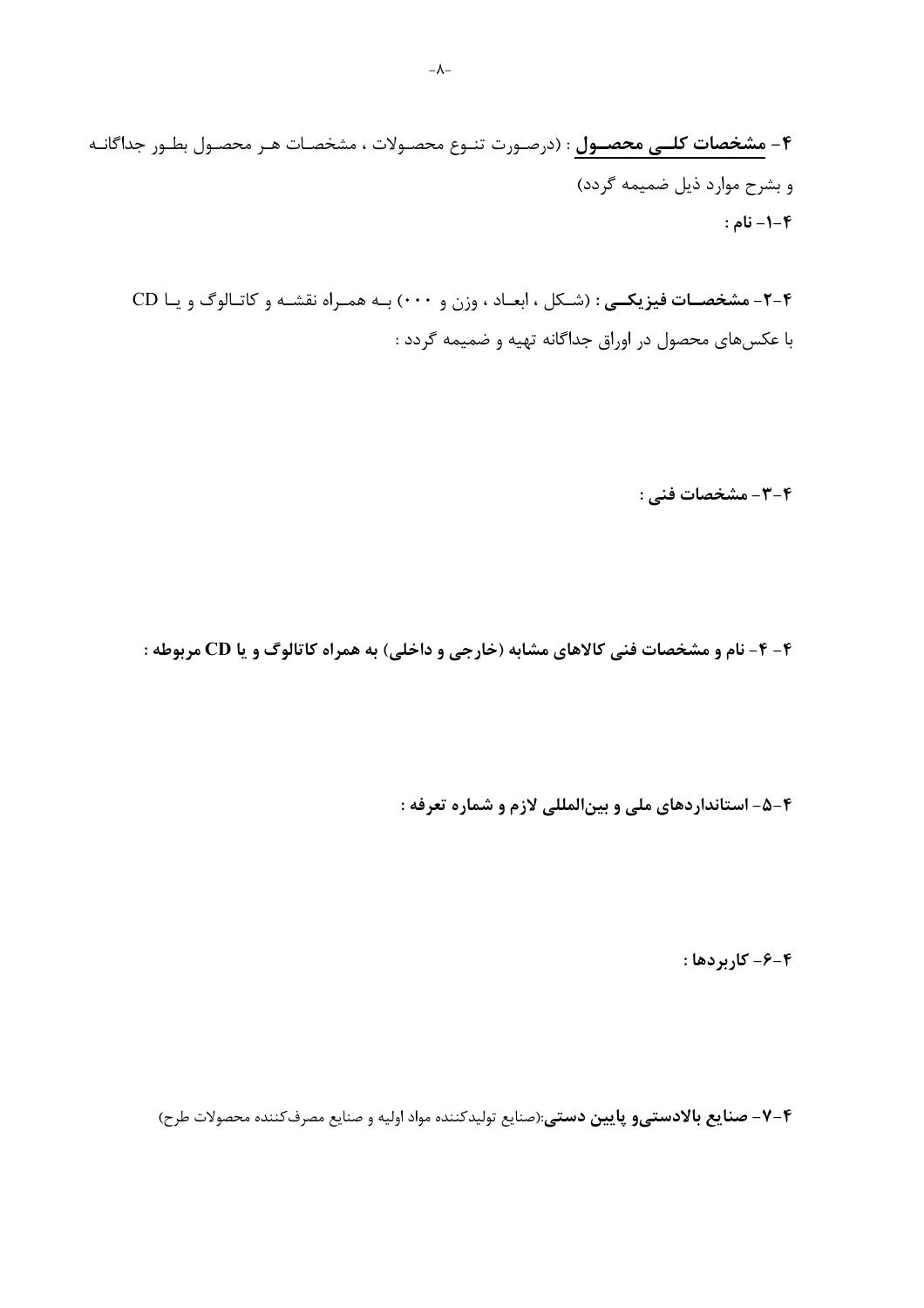۴ – مشخصات کلــی محصــول : (درصـورت تنـوع محصـولات ، مشخصـات هـر محصـول بطـور جداگانـه و بشرح موارد ذیل ضمیمه گردد) **۴-۱- نام :** 

۰۴- مشخصات فیزیکی : (شکل ، ابعـاد ، وزن و ۰۰۰) بـه همـراه نقشـه و کاتـالوگ و یـا CD با عکسهای محصول در اوراق جداگانه تهیه و ضمیمه گردد :

۴-۳- مشخصات فنی :

۴- ۴- نام و مشخصات فنی کالاهای مشابه (خارجی و داخلی) به همراه کاتالوگ و یا CD مربوطه :

۴-۵- استانداردهای ملی و بینالمللی لازم و شماره تعرفه :

۴-۶- کاربردها:

۰۴–۷- صنایع بالادستیو پایین دستی:(صنایع تولیدکننده مواد اولیه و صنایع مصرفکننده محصولات طرح)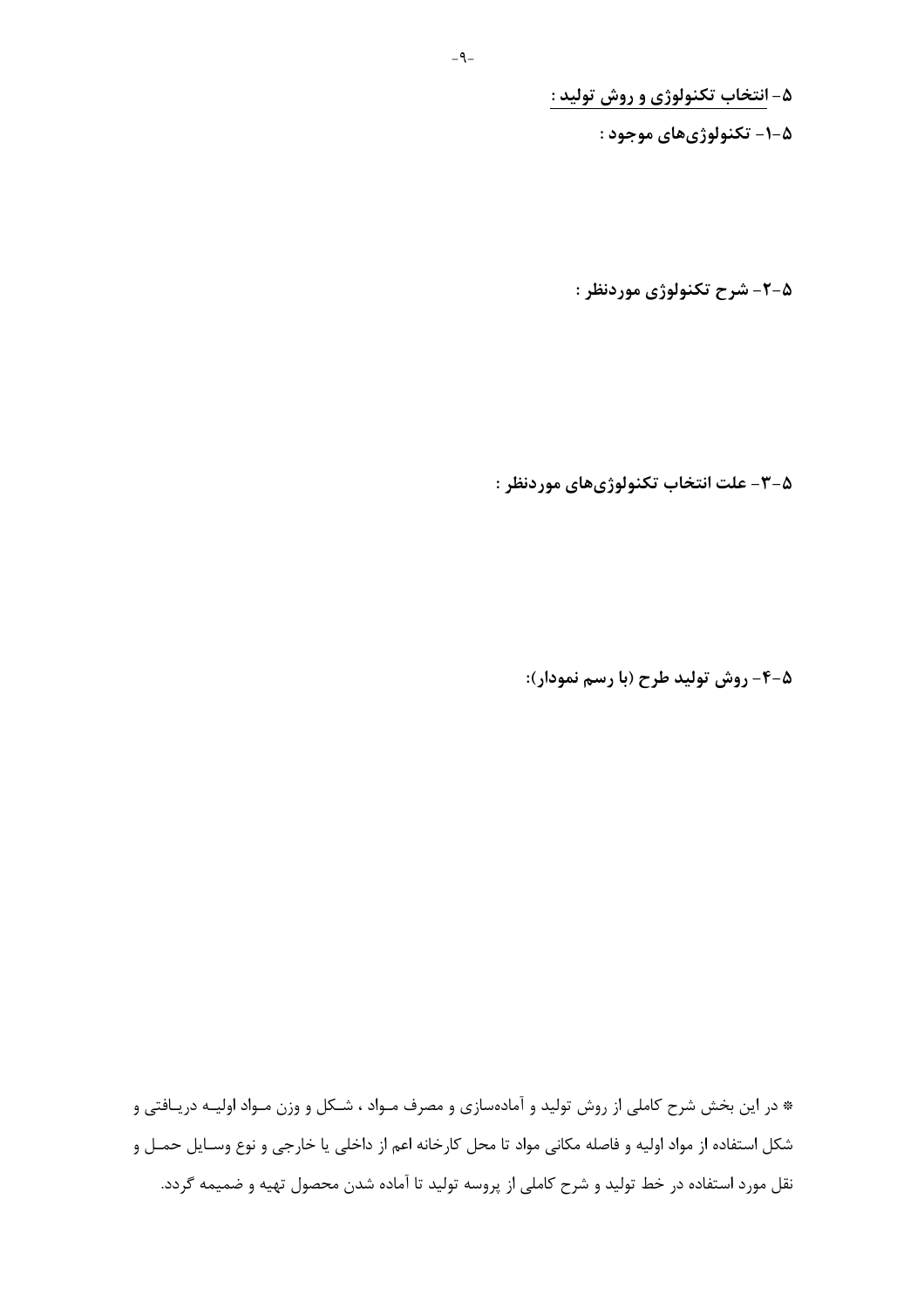۵- انتخاب تکنولوژی و روش تولید :

۵-۱- تکنولوژیهای موجود :

۵-۲- شرح تکنولوژی موردنظر :

۵-۳- علت انتخاب تکنولوژيهاي موردنظر :

۰-۵- روش تولید طرح (با رسم نمودار):

\* در این بخش شرح کاملی از روش تولید و آمادهسازی و مصرف مـواد ، شـکل و وزن مـواد اولیــه دریـافتی و شکل استفاده از مواد اولیه و فاصله مکانی مواد تا محل کارخانه اعم از داخلی یا خارجی و نوع وسـایل حمـل و نقل مورد استفاده در خط تولید و شرح کاملی از پروسه تولید تا آماده شدن محصول تهیه و ضمیمه گردد.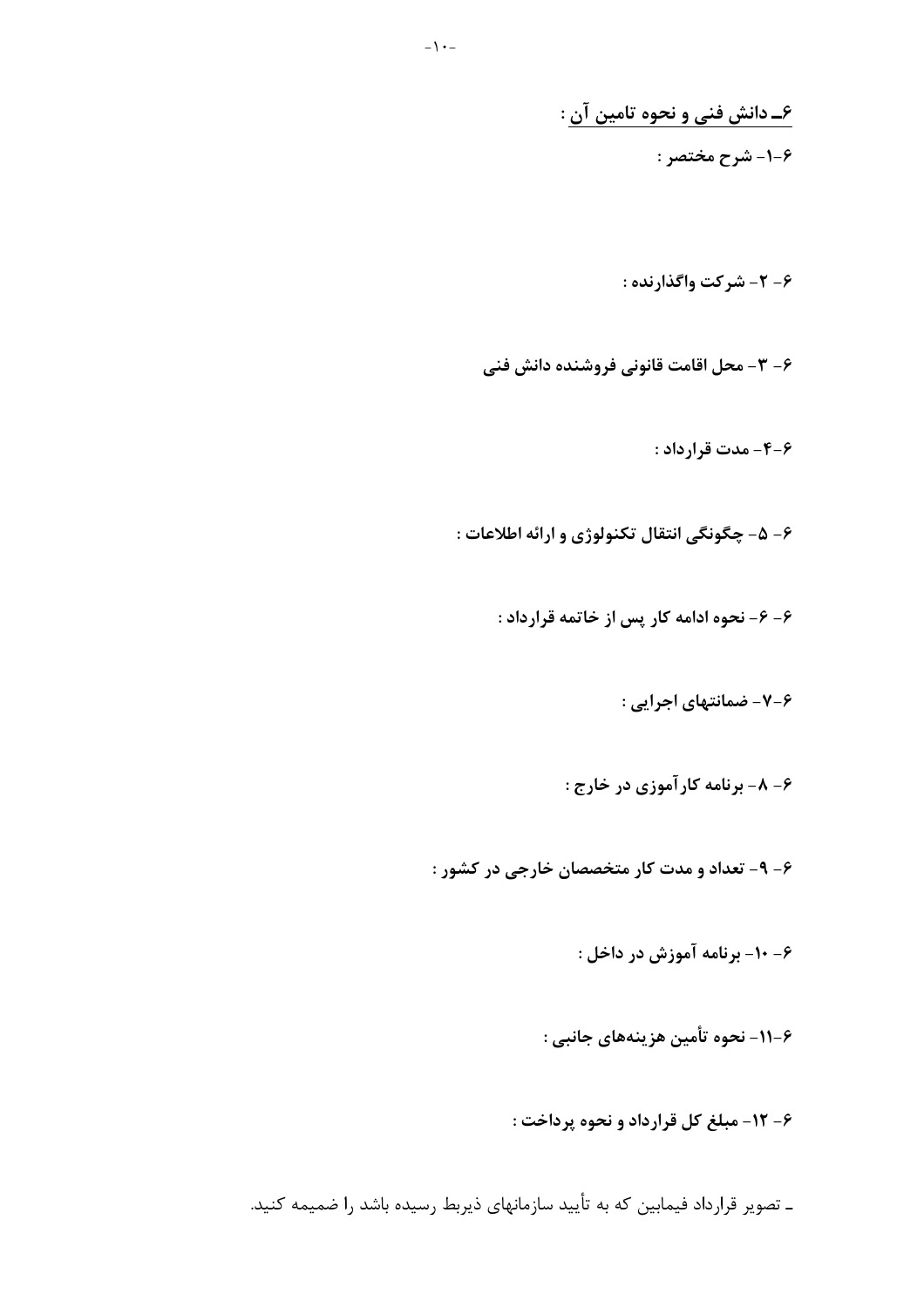۶\_ دانش فنی و نحوه تامین آن : ۶-۱- شرح مختصر :

۶- ۲- شرکت واگذارنده :

۶- ۳- محل اقامت قانونی فروشنده دانش فنی

۶-۴- مدت قرارداد :

۶- ۵- چگونگی انتقال تکنولوژی و ارائه اطلاعات :

۶- ۶- نحوه ادامه کار پس از خاتمه قرارداد :

۶-۷- ضمانتهای اجرایی :

۶ - ۸ - برنامه کارآموزی در خارج :

۶- ۹- تعداد و مدت کار متخصصان خارجی در کشور :

۶- ۱۰- برنامه آموزش در داخل :

۶–۱۱– نحوه تأمین هزینههای جانبی :

۶- ١٢- مبلغ كل قرارداد و نحوه پرداخت :

ـ تصویر قرارداد فیمابین که به تأیید سازمانهای ذیربط رسیده باشد را ضمیمه کنید.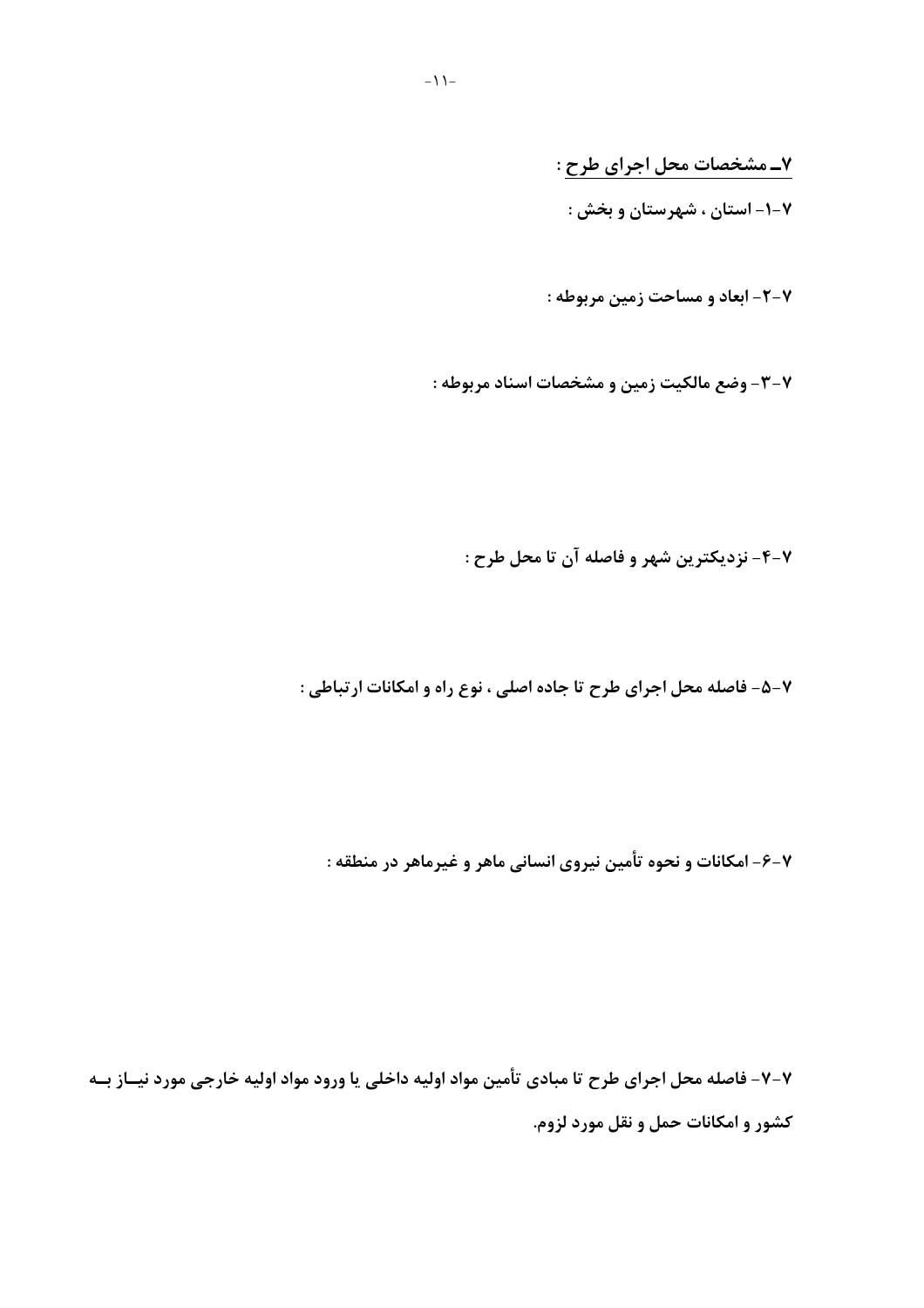۷\_ مشخصات محل اجرای طرح : ۰۷–۱– استان ، شهرستان و بخش :

٧-٢- ابعاد و مساحت زمين مربوطه :

۷-۳- وضع مالکیت زمین و مشخصات اسناد مربوطه :

۴-۲- نزدیکترین شهر و فاصله آن تا محل طرح :

۷-۵- فاصله محل اجرای طرح تا جاده اصلی ، نوع راه و امکانات ارتباطی :

۷-۶- امکانات و نحوه تأمین نیروی انسانی ماهر و غیرماهر در منطقه :

۷-۷- فاصله محل اجرای طرح تا مبادی تأمین مواد اولیه داخلی یا ورود مواد اولیه خارجی مورد نیــاز بــه کشور و امکانات حمل و نقل مورد لزوم.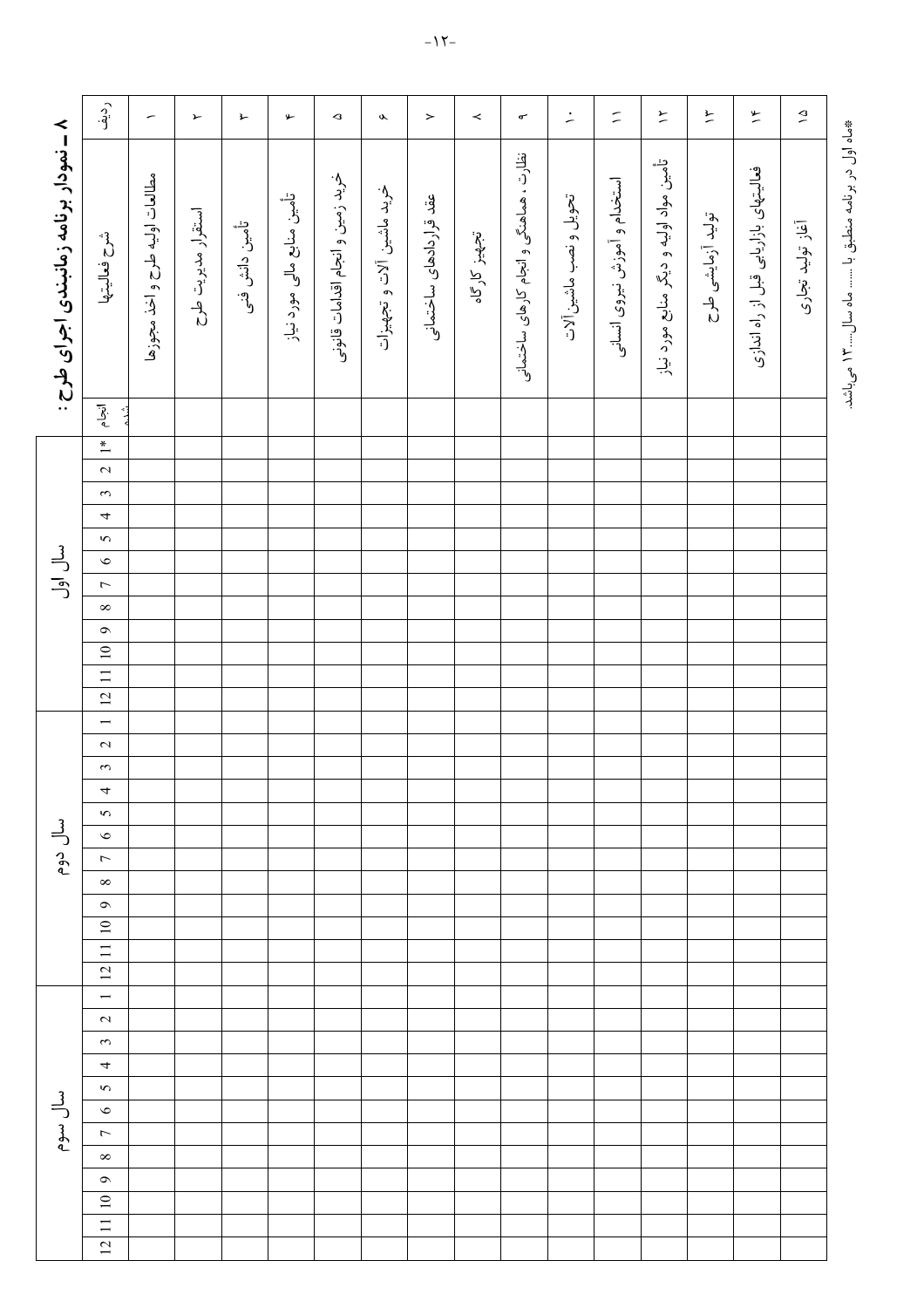|                                        | رو.<br>اف                                        | $\overline{\phantom{a}}$       | $\blacktriangleright$ | 廴              | ىي                         | $\mathrel{\mathsf{\scriptstyle{Q}}}\nolimits$ | $\boldsymbol{\delta}$     | $\,$                    | $\prec$      | $\sigma^{\!\scriptscriptstyle\bullet}$  | $\div$                 | $\tilde{\phantom{a}}$        | $\overleftarrow{\phantom{a}}$           | $\overline{r}$    | $\frac{9}{2}$                         | $\mathfrak{S}$   |
|----------------------------------------|--------------------------------------------------|--------------------------------|-----------------------|----------------|----------------------------|-----------------------------------------------|---------------------------|-------------------------|--------------|-----------------------------------------|------------------------|------------------------------|-----------------------------------------|-------------------|---------------------------------------|------------------|
| ۸ – نمودار برنامه زمانبندی اجرای طرح : | شرح فعاليتها                                     | مطالعات اوليه طرح و اخذ مجوزها | استقرار مديريت طرح    | تأمين دانش فنى | تأمین منابع مالی مورد نیاز | خريد زمين و انجام اقدامات قانونى              | خرید ماشین آلات و تجهیزات | عقد قراردادهای ساختمانی | تجهيز كارگاه | نظارت ، هماهنگی و انجام کارهای ساختمانی | تحويل و نصب ماشين آلات | استخدام و آموزش نیروی انسانی | تأمین مواد اولیه و دیگر منابع مورد نیاز | توليد آزمايشى طرح | فعالیتهای بازاریابی قبل از راه اندازی | أغاز توليد تجارى |
|                                        | $\begin{array}{c c}\n\hline\n\end{array}$<br>شده |                                |                       |                |                            |                                               |                           |                         |              |                                         |                        |                              |                                         |                   |                                       |                  |
|                                        |                                                  |                                |                       |                |                            |                                               |                           |                         |              |                                         |                        |                              |                                         |                   |                                       |                  |
|                                        | $\overline{2}$                                   |                                |                       |                |                            |                                               |                           |                         |              |                                         |                        |                              |                                         |                   |                                       |                  |
|                                        | $\tilde{3}$<br>$\overline{\phantom{a}}$          |                                |                       |                |                            |                                               |                           |                         |              |                                         |                        |                              |                                         |                   |                                       |                  |
|                                        | $\overline{5}$                                   |                                |                       |                |                            |                                               |                           |                         |              |                                         |                        |                              |                                         |                   |                                       |                  |
| سال اول                                | $\circ$                                          |                                |                       |                |                            |                                               |                           |                         |              |                                         |                        |                              |                                         |                   |                                       |                  |
|                                        | $\overline{7}$                                   |                                |                       |                |                            |                                               |                           |                         |              |                                         |                        |                              |                                         |                   |                                       |                  |
|                                        | $\infty$                                         |                                |                       |                |                            |                                               |                           |                         |              |                                         |                        |                              |                                         |                   |                                       |                  |
|                                        | $\circ$                                          |                                |                       |                |                            |                                               |                           |                         |              |                                         |                        |                              |                                         |                   |                                       |                  |
|                                        | 12 11 10                                         |                                |                       |                |                            |                                               |                           |                         |              |                                         |                        |                              |                                         |                   |                                       |                  |
|                                        |                                                  |                                |                       |                |                            |                                               |                           |                         |              |                                         |                        |                              |                                         |                   |                                       |                  |
|                                        | $\overline{1}$                                   |                                |                       |                |                            |                                               |                           |                         |              |                                         |                        |                              |                                         |                   |                                       |                  |
|                                        | $\overline{c}$                                   |                                |                       |                |                            |                                               |                           |                         |              |                                         |                        |                              |                                         |                   |                                       |                  |
|                                        | $\tilde{z}$                                      |                                |                       |                |                            |                                               |                           |                         |              |                                         |                        |                              |                                         |                   |                                       |                  |
|                                        | ᡪ                                                |                                |                       |                |                            |                                               |                           |                         |              |                                         |                        |                              |                                         |                   |                                       |                  |
|                                        | $\sim$                                           |                                |                       |                |                            |                                               |                           |                         |              |                                         |                        |                              |                                         |                   |                                       |                  |
| سال دوم                                | $\circ$<br>$\overline{\phantom{a}}$              |                                |                       |                |                            |                                               |                           |                         |              |                                         |                        |                              |                                         |                   |                                       |                  |
|                                        | $\infty$                                         |                                |                       |                |                            |                                               |                           |                         |              |                                         |                        |                              |                                         |                   |                                       |                  |
|                                        | $\bullet$                                        |                                |                       |                |                            |                                               |                           |                         |              |                                         |                        |                              |                                         |                   |                                       |                  |
|                                        | $\Xi$                                            |                                |                       |                |                            |                                               |                           |                         |              |                                         |                        |                              |                                         |                   |                                       |                  |
|                                        | $\equiv$                                         |                                |                       |                |                            |                                               |                           |                         |              |                                         |                        |                              |                                         |                   |                                       |                  |
|                                        | 12                                               |                                |                       |                |                            |                                               |                           |                         |              |                                         |                        |                              |                                         |                   |                                       |                  |
|                                        | $\overline{\phantom{0}}$<br>$\sim$               |                                |                       |                |                            |                                               |                           |                         |              |                                         |                        |                              |                                         |                   |                                       |                  |
|                                        | $\sim$                                           |                                |                       |                |                            |                                               |                           |                         |              |                                         |                        |                              |                                         |                   |                                       |                  |
|                                        | 4                                                |                                |                       |                |                            |                                               |                           |                         |              |                                         |                        |                              |                                         |                   |                                       |                  |
|                                        | $\sim$                                           |                                |                       |                |                            |                                               |                           |                         |              |                                         |                        |                              |                                         |                   |                                       |                  |
| لىل سوم                                | $\bullet$                                        |                                |                       |                |                            |                                               |                           |                         |              |                                         |                        |                              |                                         |                   |                                       |                  |
|                                        | $\overline{\phantom{a}}$                         |                                |                       |                |                            |                                               |                           |                         |              |                                         |                        |                              |                                         |                   |                                       |                  |
|                                        | $\infty$                                         |                                |                       |                |                            |                                               |                           |                         |              |                                         |                        |                              |                                         |                   |                                       |                  |
|                                        | $\bullet$<br>$10\,$                              |                                |                       |                |                            |                                               |                           |                         |              |                                         |                        |                              |                                         |                   |                                       |                  |
|                                        | $\overline{11}$                                  |                                |                       |                |                            |                                               |                           |                         |              |                                         |                        |                              |                                         |                   |                                       |                  |
|                                        | $\overline{C}$                                   |                                |                       |                |                            |                                               |                           |                         |              |                                         |                        |                              |                                         |                   |                                       |                  |

\*ماه اول در برنامه منطبق با ....... ماه سال.....۳ می باشد.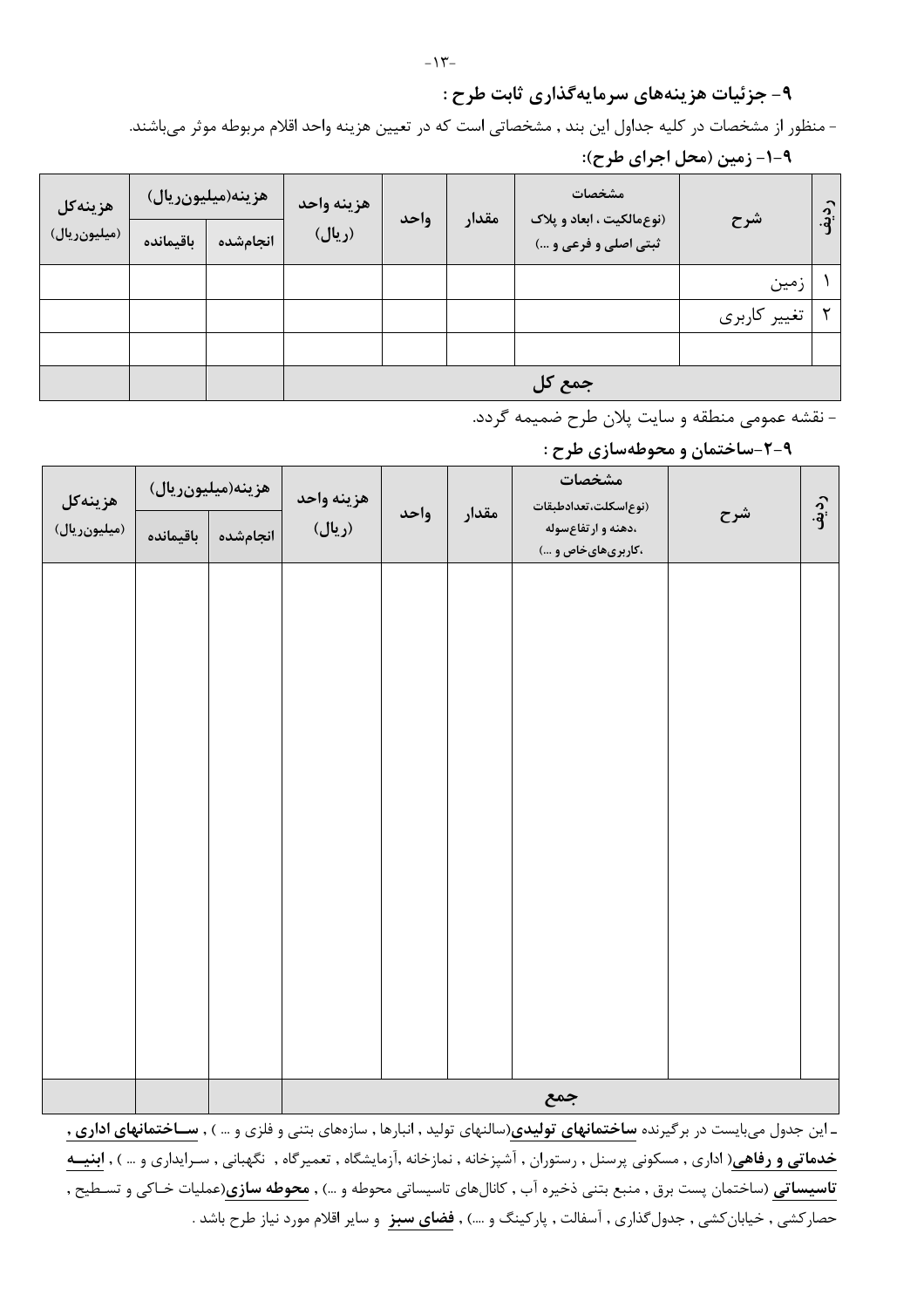#### ۹- جزئیات هزینههای سرمایهگذاری ثابت طرح :

- منظور از مشخصات در كليه جداول اين بند , مشخصاتي است كه در تعيين هزينه واحد اقلام مربوطه موثر مي باشند.

| هزينهكل      | هزينه(ميليونريال) |          | هزينه واحد | واحد | مقدار | مشخصات<br>(نوع مالکیت ، ابعاد و پلاک | شرح          | $\hat{e}$ |
|--------------|-------------------|----------|------------|------|-------|--------------------------------------|--------------|-----------|
| (میلیونریال) | باقيمانده         | انجامشده | (ريال)     |      |       | ثبتي اصلي و فرعي و …)                |              |           |
|              |                   |          |            |      |       |                                      | زمين         |           |
|              |                   |          |            |      |       |                                      | تغییر کاربری |           |
|              |                   |          |            |      |       |                                      |              |           |
|              |                   |          |            |      |       | جمع کل                               |              |           |

۹-۱- زمین (محل اجرای طرح):

- نقشه عمومي منطقه و سايت پلان طرح ضميمه گردد.

۹-۲-ساختمان و محوطهسازی طرح :

| هزينهكل      |           | هزينه(ميليونريال) | هزينه واحد |  |  | واحد<br>مقدار                            |  | مشخصات<br>(نوع سكلت،تعدادطبقات | شرح | رديف |
|--------------|-----------|-------------------|------------|--|--|------------------------------------------|--|--------------------------------|-----|------|
| (میلیونریال) | باقيمانده | انجامشده          | (ريال)     |  |  | ،دهنه و ارتفاعسوله<br>،کاربریهایخاص و …) |  |                                |     |      |
|              |           |                   |            |  |  |                                          |  |                                |     |      |
|              |           |                   |            |  |  |                                          |  |                                |     |      |
|              |           |                   |            |  |  |                                          |  |                                |     |      |
|              |           |                   |            |  |  |                                          |  |                                |     |      |
|              |           |                   |            |  |  |                                          |  |                                |     |      |
|              |           |                   |            |  |  |                                          |  |                                |     |      |
|              |           |                   |            |  |  |                                          |  |                                |     |      |
|              |           |                   |            |  |  |                                          |  |                                |     |      |
|              |           |                   |            |  |  |                                          |  |                                |     |      |
|              |           |                   |            |  |  |                                          |  |                                |     |      |
|              |           |                   |            |  |  |                                          |  |                                |     |      |
|              |           |                   |            |  |  |                                          |  |                                |     |      |
|              |           |                   |            |  |  |                                          |  |                                |     |      |
|              |           |                   |            |  |  |                                          |  |                                |     |      |

ـ این جدول میبایست در برگیرنده **ساختمانهای تولیدی**(سالنهای تولید , انبارها , سازههای بتنی و فلزی و … ) , **ســاختمانهای اداری ,** خدماتی و رفاهی( اداری , مسکونی پرسنل , رستوران , آشپزخانه , نمازخانه ,آزمایشگاه , تعمیرگاه , نگهبانی , سـرایداری و … ) , ابنیــه **تاسیساتی** (ساختمان پست برق , منبع بتنی ذخیره آب , کانالهای تاسیساتی محوطه و …) , **محوطه سازی**(عملیات خـاکی و تسـطیح , حصارکشی , خیابانکشی , جدول *گ*ذاری , آسفالت , پارکینگ و ….) , **فضای سبز** و سایر اقلام مورد نیاز طرح باشد .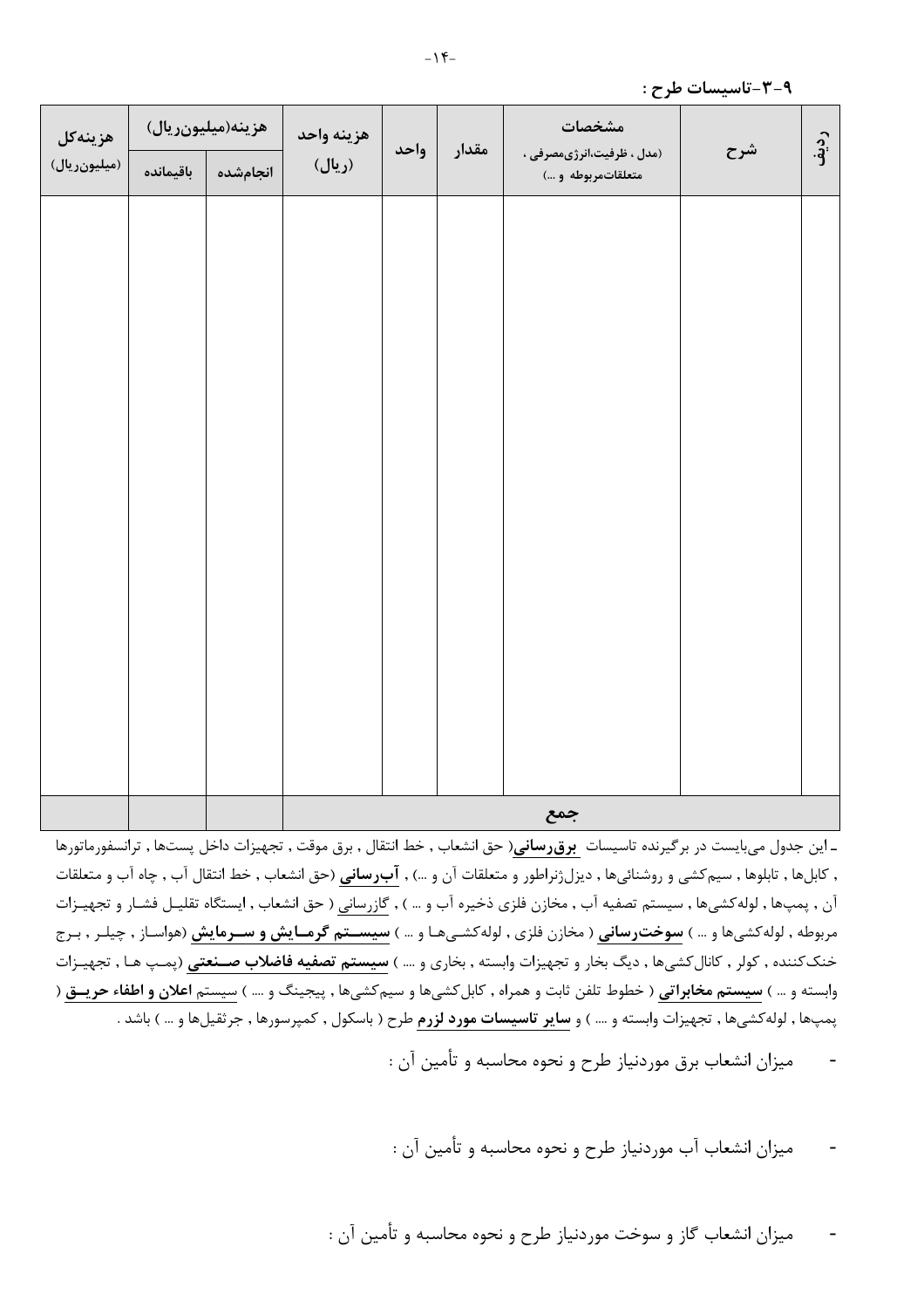| هزينهكل<br>(میلیونریال) | باقيمانده | هزينه(ميليونريال)<br>انجامشده | هزينه واحد<br>(ريال) | واحد | مقدار | مشخصات<br>(مدل ، ظرفیت،انرژیمصرفی ،<br>متعلقاتمربوطه و ) | شرح | رديف |  |  |
|-------------------------|-----------|-------------------------------|----------------------|------|-------|----------------------------------------------------------|-----|------|--|--|
|                         |           |                               |                      |      |       |                                                          |     |      |  |  |
|                         |           |                               |                      |      |       |                                                          |     |      |  |  |
|                         |           |                               |                      |      |       |                                                          |     |      |  |  |
|                         |           |                               |                      |      |       |                                                          |     |      |  |  |
|                         |           |                               |                      |      |       |                                                          |     |      |  |  |
|                         |           |                               |                      |      |       |                                                          |     |      |  |  |
|                         |           |                               |                      |      |       |                                                          |     |      |  |  |
|                         |           |                               |                      |      |       |                                                          |     |      |  |  |
|                         |           |                               | جمع                  |      |       |                                                          |     |      |  |  |

ـ این جدول میبایست در برگیرنده تاسیسات **برق رسانی**( حق انشعاب , خط انتقال , برق موقت , تجهیزات داخل پستها , ترانسفورماتورها , کابلها , تابلوها , سیمکشی و روشنائیها , دیزلژنراطور و متعلقات آن و …) , **آبرسانی** (حق انشعاب , خط انتقال آب , چاه آب و متعلقات آن , پمپها , لوله كشيها , سيستم تصفيه آب , مخازن فلزي ذخيره آب و … ) , گازرساني ( حق انشعاب , ايستگاه تقليـل فشـار و تجهيـزات مربوطه , لوله *ک*شیها و … ) **سوخترسانی** ( مخازن فلزی , لوله *ک*شـیهـا و … ) **سیســتم گرمــایش و ســرمایش** (هواسـاز , چیلـر , بـرج خنککننده , کولر , کانالکشیها , دیگ بخار و تجهیزات وابسته , بخاری و …. ) **سیستم تصفیه فاضلاب صـنعتی** (پمـپ هـا , تجهیـزات وابسته و … ) **سیستم مخابراتی** ( خطوط تلفن ثابت و همراه , کابل *ک*شیها و سیم *ک*شیها , پیجینگ و … ) سیستم **اعلان و اطفاء حریــق** ( پمپها , لولهکشیها , تجهیزات وابسته و …. ) و **سایر تاسیسات مورد لزرم** طرح ( باسکول , کمپرسورها , جرثقیلها و … ) باشد .

ميزان انشعاب برق موردنياز طرح و نحوه محاسبه و تأمين آن :

میزان انشعاب آب موردنیاز طرح و نحوه محاسبه و تأمین آن :

میزان انشعاب گاز و سوخت موردنیاز طرح و نحوه محاسبه و تأمین آن :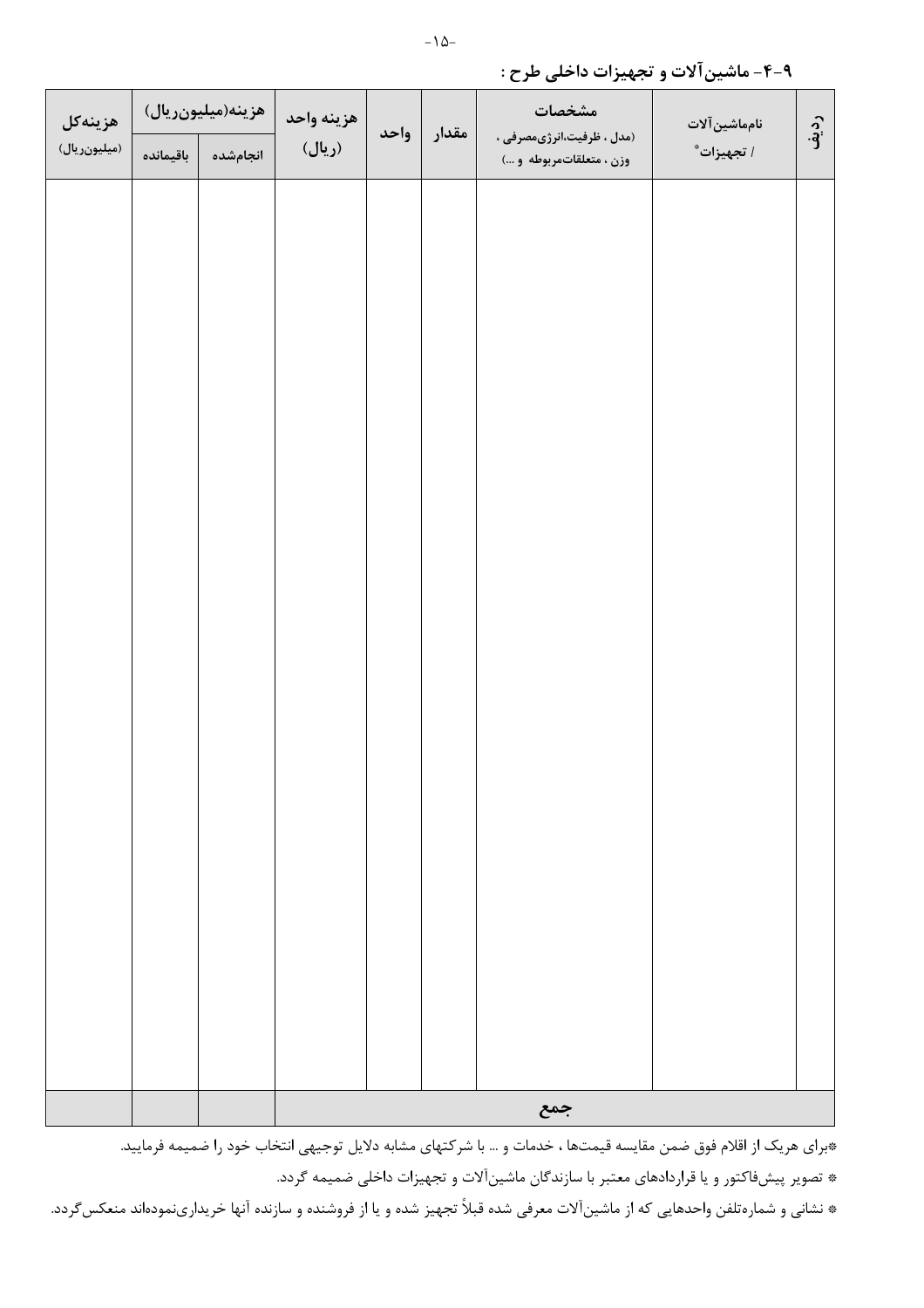| هزينهكل      |           | هزينه(ميليونريال) | هزينه واحد | واحد |  | مشخصات<br>نامماشين آلات<br>مقدار                     |            |      |  |  |
|--------------|-----------|-------------------|------------|------|--|------------------------------------------------------|------------|------|--|--|
| (میلیونریال) | باقيمانده | انجامشده          | (ريال)     |      |  | (مدل ، ظرفیت،انرژیمصرفی ،<br>وزن ، متعلقاتمربوطه و ) | ا تجهيزات* | رديف |  |  |
|              |           |                   |            |      |  |                                                      |            |      |  |  |
|              |           |                   |            |      |  |                                                      |            |      |  |  |
|              |           |                   |            |      |  |                                                      |            |      |  |  |
|              |           |                   |            |      |  |                                                      |            |      |  |  |
|              |           |                   |            |      |  |                                                      |            |      |  |  |
|              |           |                   |            |      |  |                                                      |            |      |  |  |
|              |           |                   |            |      |  |                                                      |            |      |  |  |
|              |           |                   |            |      |  |                                                      |            |      |  |  |
|              |           |                   |            |      |  |                                                      |            |      |  |  |
|              |           |                   |            |      |  |                                                      |            |      |  |  |
|              |           |                   |            |      |  |                                                      |            |      |  |  |
|              |           |                   |            |      |  |                                                      |            |      |  |  |
|              |           |                   |            |      |  |                                                      |            |      |  |  |
|              |           |                   |            |      |  |                                                      |            |      |  |  |
|              |           |                   |            |      |  |                                                      |            |      |  |  |
|              |           |                   |            |      |  |                                                      |            |      |  |  |
|              |           |                   |            |      |  |                                                      |            |      |  |  |
|              |           |                   |            |      |  |                                                      |            |      |  |  |
|              |           |                   |            |      |  |                                                      |            |      |  |  |
|              |           |                   |            | جمع  |  |                                                      |            |      |  |  |

#### ۹-۴-ماشین آلات و تجهیزات داخلی طرح :

\*برای هریک از اقلام فوق ضمن مقایسه قیمتها ، خدمات و … با شرکتهای مشابه دلایل توجیهی انتخاب خود را ضمیمه فرمایید. \* تصویر پیشفاکتور و یا قراردادهای معتبر با سازندگان ماشینآلات و تجهیزات داخلی ضمیمه گردد.

\* نشانی و شمارهتلفن واحدهایی که از ماشینآلات معرفی شده قبلاً تجهیز شده و یا از فروشنده و سازنده آنها خریدارینمودهاند منعکسگردد.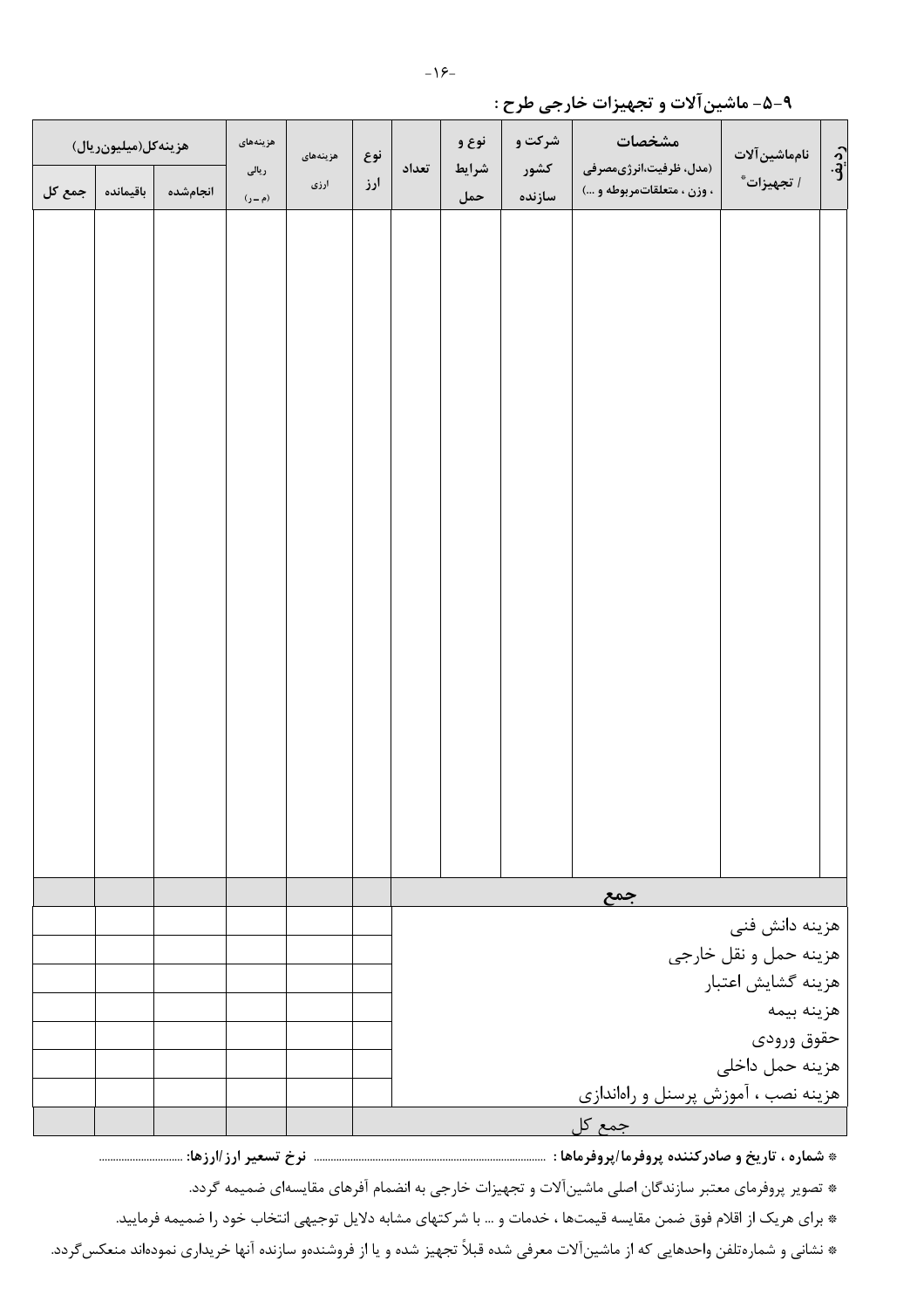|        | هزينه كل(ميليونريال) |          | هزينههاى<br>ریالی | هزينههاى | نوع | تعداد                                       | نوع و<br>شرايط | شرکت و<br>كشور | مشخصات<br>(مدل، ظرفیت،انرژیمصرفی | نامماشين آلات         | رديف |
|--------|----------------------|----------|-------------------|----------|-----|---------------------------------------------|----------------|----------------|----------------------------------|-----------------------|------|
| جمع کل | باقيمانده            | انجامشده | (م ــ ر)          | ارزی     | ارز |                                             | حمل            | سازنده         | ، وزن ، متعلقاتمربوطه و …)       | ا تجهيزات*            |      |
|        |                      |          |                   |          |     |                                             |                |                |                                  |                       |      |
|        |                      |          |                   |          |     |                                             |                |                |                                  |                       |      |
|        |                      |          |                   |          |     |                                             |                |                |                                  |                       |      |
|        |                      |          |                   |          |     |                                             |                |                |                                  |                       |      |
|        |                      |          |                   |          |     |                                             |                |                |                                  |                       |      |
|        |                      |          |                   |          |     |                                             |                |                |                                  |                       |      |
|        |                      |          |                   |          |     |                                             |                |                |                                  |                       |      |
|        |                      |          |                   |          |     |                                             |                |                |                                  |                       |      |
|        |                      |          |                   |          |     |                                             |                |                |                                  |                       |      |
|        |                      |          |                   |          |     |                                             |                |                |                                  |                       |      |
|        |                      |          |                   |          |     |                                             |                |                |                                  |                       |      |
|        |                      |          |                   |          |     |                                             |                |                |                                  |                       |      |
|        |                      |          |                   |          |     |                                             |                |                |                                  |                       |      |
|        |                      |          |                   |          |     |                                             |                |                |                                  |                       |      |
|        |                      |          |                   |          |     |                                             |                |                |                                  |                       |      |
|        |                      |          |                   |          |     |                                             |                |                |                                  |                       |      |
|        |                      |          |                   |          |     |                                             |                |                |                                  |                       |      |
|        |                      |          |                   |          |     |                                             |                |                |                                  |                       |      |
|        |                      |          |                   |          |     |                                             |                |                |                                  |                       |      |
|        |                      |          |                   |          |     |                                             |                |                |                                  |                       |      |
|        |                      |          |                   |          |     |                                             |                |                |                                  |                       |      |
|        |                      |          |                   |          |     |                                             |                |                |                                  |                       |      |
|        |                      |          |                   |          |     |                                             |                |                | جمع                              |                       |      |
|        |                      |          |                   |          |     |                                             |                |                |                                  | هزینه دانش فنی        |      |
|        |                      |          |                   |          |     |                                             |                |                |                                  | هزينه حمل و نقل خارجي |      |
|        |                      |          |                   |          |     | هزينه گشايش اعتبار                          |                |                |                                  |                       |      |
|        |                      |          |                   |          |     | هزينه بيمه                                  |                |                |                                  |                       |      |
|        |                      |          |                   |          |     | حقوق ورودى                                  |                |                |                                  |                       |      |
|        |                      |          |                   |          |     | هزينه حمل داخلي                             |                |                |                                  |                       |      |
|        |                      |          |                   |          |     | هزینه نصب ، آموزش پرسنل و راهاندا <u>زی</u> |                |                |                                  |                       |      |
|        |                      |          |                   |          |     |                                             |                |                | جمع کل                           |                       |      |

۹-۵- ماشینآلات و تجهیزات خارجی طرح :

\* تصویر پروفرمای معتبر سازندگان اصلی ماشینآلات و تجهیزات خارجی به انضمام آفرهای مقایسهای ضمیمه گردد.

\* برای هریک از اقلام فوق ضمن مقایسه قیمتها ، خدمات و … با شرکتهای مشابه دلایل توجیهی انتخاب خود را ضمیمه فرمایید.

\* نشانی و شمارهتلفن واحدهایی که از ماشینآلات معرفی شده قبلاً تجهیز شده و یا از فروشندهو سازنده آنها خریداری نمودهاند منعکس *گ*ردد.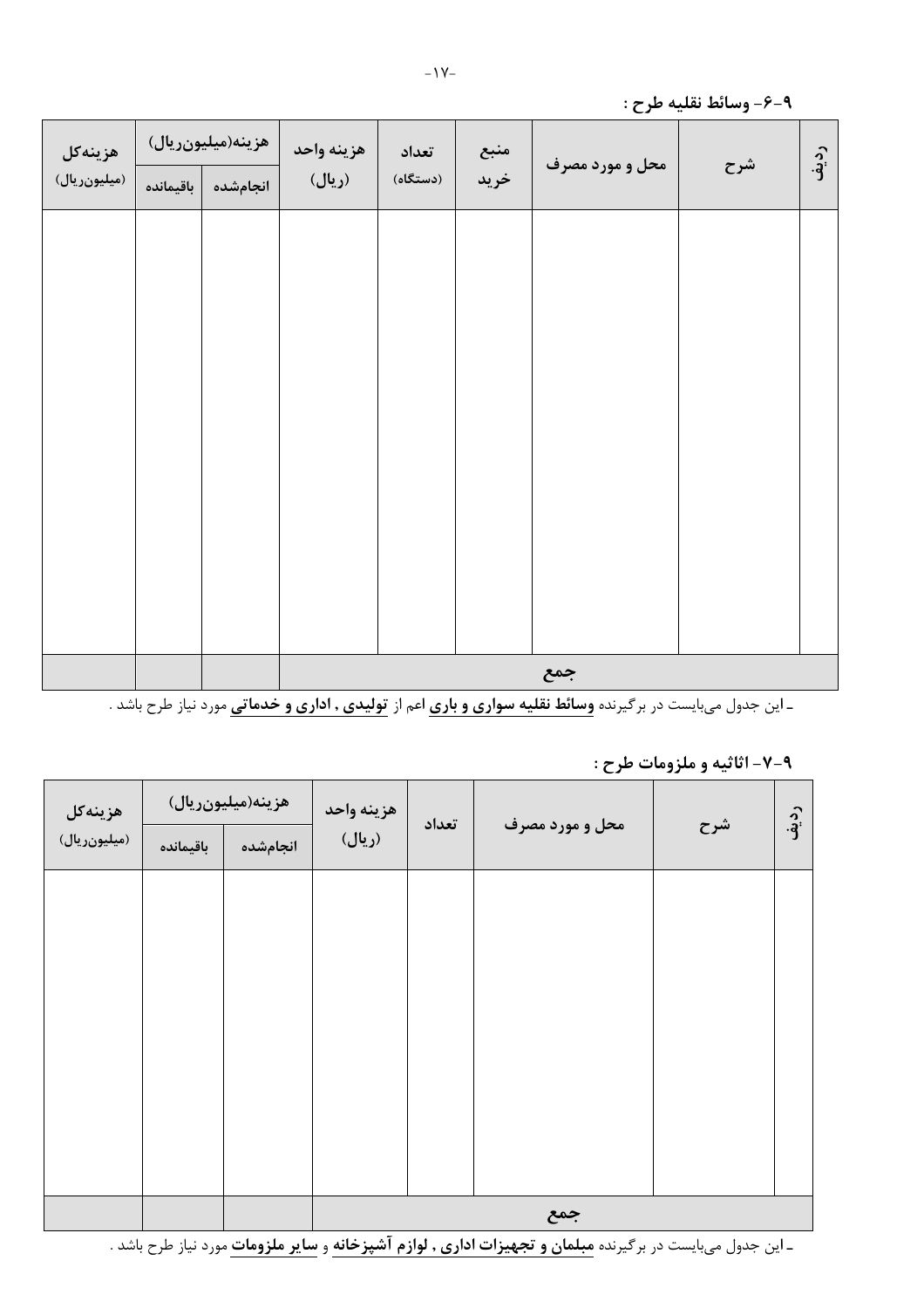| هزينهكل      | هزينه(ميليونريال) |          | هزينه واحد | تعداد    | منبع | محل و مورد مصرف |     |      |
|--------------|-------------------|----------|------------|----------|------|-----------------|-----|------|
| (میلیونریال) | باقيمانده         | انجامشده | (ريال)     | (دستگاه) | خريد |                 | شرح | رديف |
|              |                   |          |            |          |      |                 |     |      |
|              |                   |          |            |          |      |                 |     |      |
|              |                   |          |            |          |      |                 |     |      |
|              |                   |          |            |          |      |                 |     |      |
|              |                   |          |            |          |      |                 |     |      |
|              |                   |          |            |          |      |                 |     |      |
|              |                   |          |            |          |      |                 |     |      |
|              |                   |          |            |          |      |                 |     |      |
|              |                   |          |            |          |      |                 |     |      |
|              |                   |          |            |          |      |                 |     |      |
|              |                   |          |            |          |      | جمع             |     |      |

ـ این جدول میبایست در برگیرنده **وسائط نقلیه سواری و باری** اعم از ت**ولیدی , اداری و خدماتی** مورد نیاز طرح باشد .

#### ۹-۷- اثاثیه و ملزومات طرح :

| هزينهكل      |           | هزينه(ميليونريال) | هزينه واحد | تعداد |                 |     | رديف |  |  |  |
|--------------|-----------|-------------------|------------|-------|-----------------|-----|------|--|--|--|
| (میلیونریال) | باقيمانده | انجامشده          | (ريال)     |       | محل و مورد مصرف | شرح |      |  |  |  |
|              |           |                   |            |       |                 |     |      |  |  |  |
|              |           |                   |            |       |                 |     |      |  |  |  |
|              |           |                   |            |       |                 |     |      |  |  |  |
|              |           |                   |            |       |                 |     |      |  |  |  |
|              |           |                   |            |       |                 |     |      |  |  |  |
|              |           |                   |            |       |                 |     |      |  |  |  |
|              |           |                   |            |       |                 |     |      |  |  |  |
|              |           |                   |            |       |                 |     |      |  |  |  |
|              |           |                   | جمع        |       |                 |     |      |  |  |  |

ـ این جدول میبایست در برگیرنده <mark>مبلمان و تجهیزات اداری , لوازم آشپزخانه</mark> و <mark>سایر ملزومات</mark> مورد نیاز طرح باشد .

#### ۹-۶- وسائط نقليه طرح :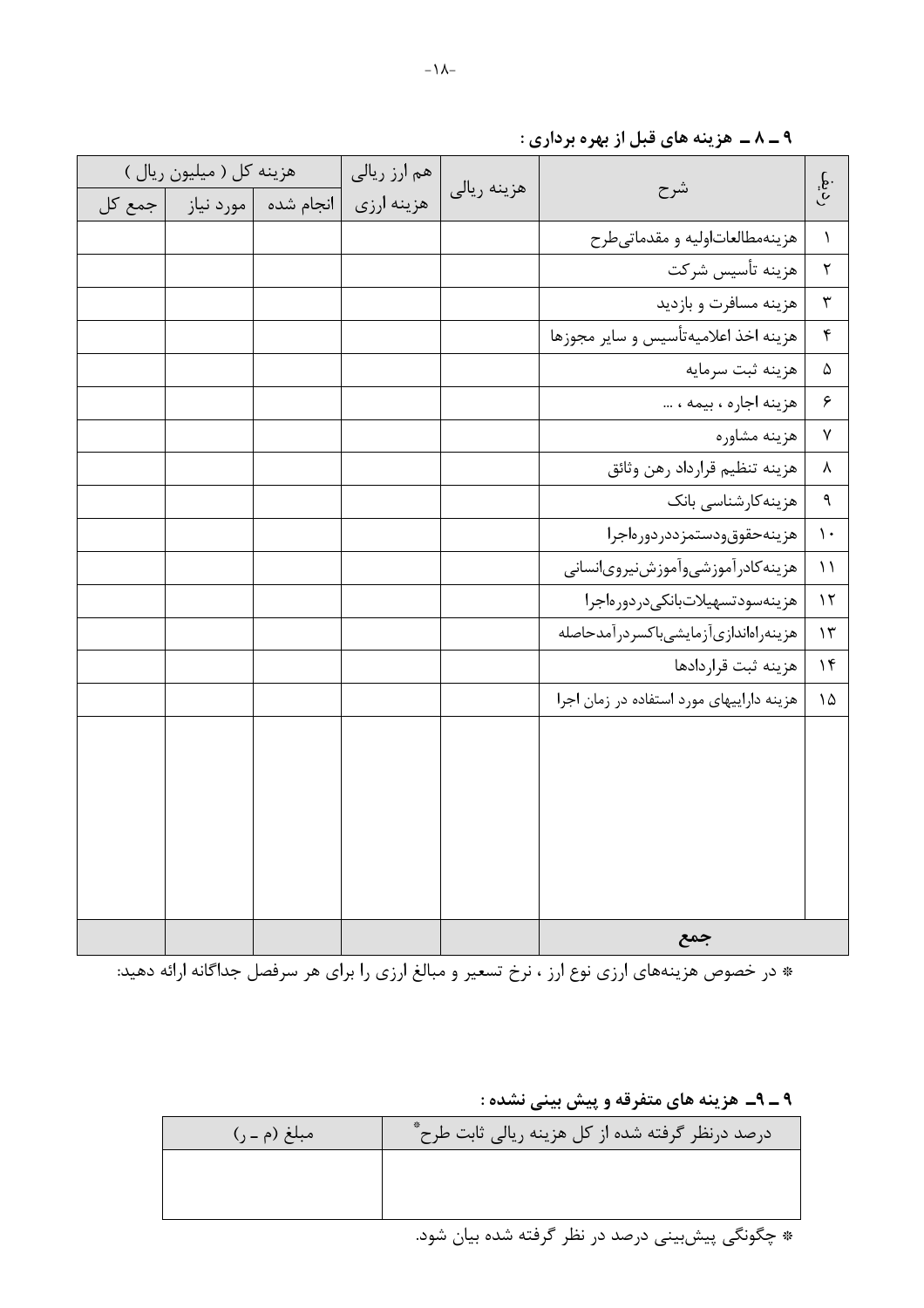|                              |                                           |             | هم ارز ریالی | هزينه كل ( ميليون ريال )       |  |
|------------------------------|-------------------------------------------|-------------|--------------|--------------------------------|--|
| $\widetilde{\mathfrak{g}}$ . | شرح                                       | هزينه ريالي | هزينه ارزى   | انجام شده   مورد نیاز   جمع کل |  |
| $\lambda$                    | هزينهمطالعاتاوليه و مقدماتي طرح           |             |              |                                |  |
| $\mathbf{\tilde{r}}$         | هزينه تأسيس شركت                          |             |              |                                |  |
| $\mathbf{\tilde{r}}$         | هزينه مسافرت و بازديد                     |             |              |                                |  |
| $\pmb{\mathsf{f}}$           | هزينه اخذ اعلاميهتأسيس و ساير مجوزها      |             |              |                                |  |
| $\Delta$                     | هزينه ثبت سرمايه                          |             |              |                                |  |
| $\epsilon$                   | هزينه اجاره ، بيمه ،                      |             |              |                                |  |
| $\sf V$                      | هزينه مشاوره                              |             |              |                                |  |
| $\pmb{\lambda}$              | هزينه تنظيم قرارداد رهن وثائق             |             |              |                                |  |
| $\mathbf{\mathsf{q}}$        | هزینهکارشناسی بانک                        |             |              |                                |  |
| $\mathcal{N}$                | هزينهحقوق ودستمزددردورهاجرا               |             |              |                                |  |
| $\setminus$                  | هزينه كادرآموزشي وأموزش نيروىانساني       |             |              |                                |  |
| $\mathcal{N}$                | هزينهسودتسهيلاتبانكى دردورهاجرا           |             |              |                                |  |
| $\mathcal{N}$                | هزينهراهاندازىآزمايشىباكسردرآمدحاصله      |             |              |                                |  |
| 1f                           | هزينه ثبت قراردادها                       |             |              |                                |  |
| $\Delta$                     | هزینه داراییهای مورد استفاده در زمان اجرا |             |              |                                |  |
|                              |                                           |             |              |                                |  |
|                              |                                           |             |              |                                |  |
|                              |                                           |             |              |                                |  |
|                              |                                           |             |              |                                |  |
|                              |                                           |             |              |                                |  |
|                              |                                           |             |              |                                |  |
|                              | حمع                                       |             |              |                                |  |

۹ ــ ۸ ــ هزينه های قبل از بهره برداری :

۹ ــ ۹\_ هزينه هاي متفرقه و پيش بيني نشده :

| مبلغ (م ـ ر) | درصد درنظر گرفته شده از کل هزینه ریالی ثابت طرح ٌ |
|--------------|---------------------------------------------------|
|              |                                                   |
|              |                                                   |
|              | * چگونگی پیش بینی درصد در نظر گرفته شده بیان شود. |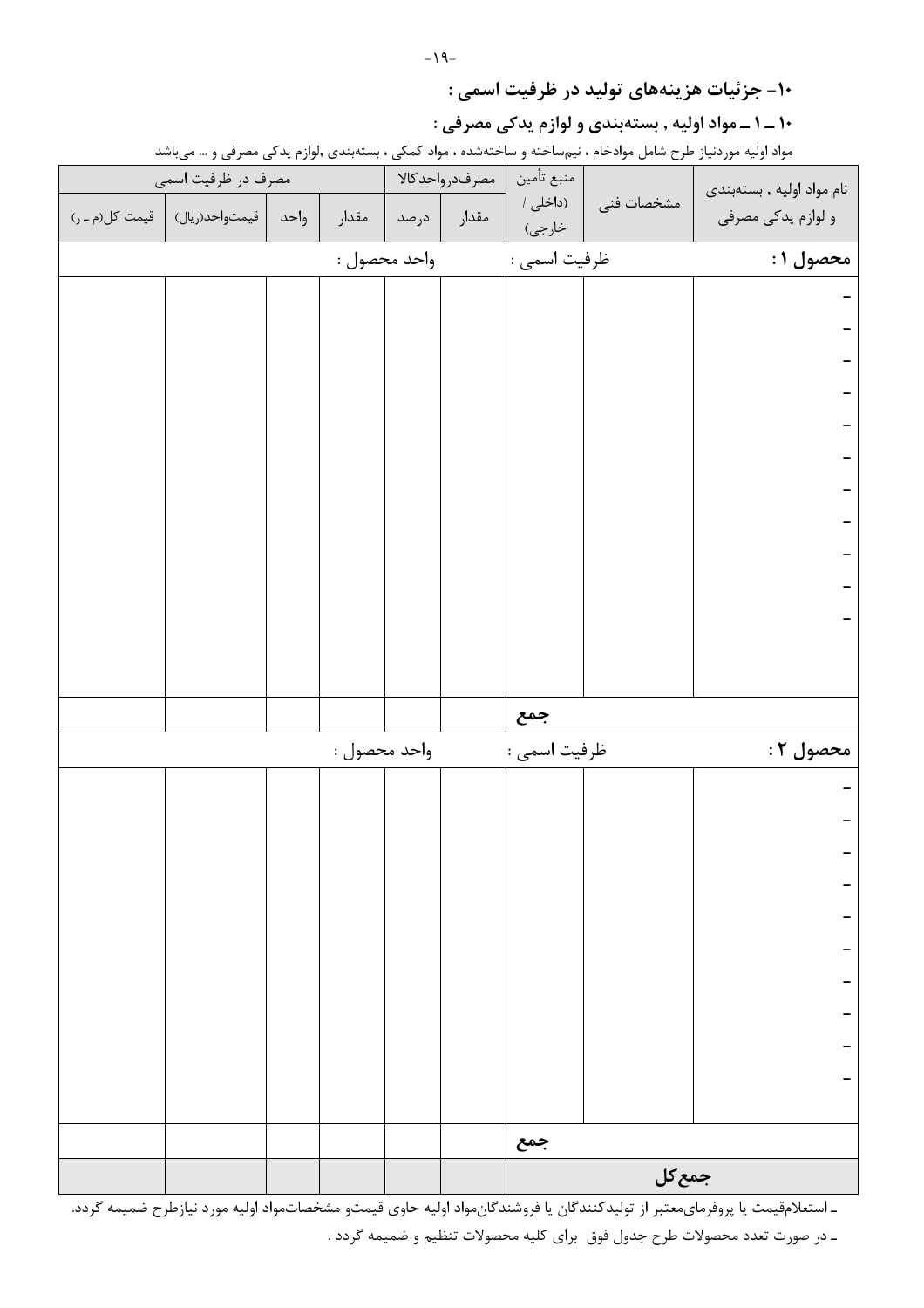۱۰- جزئیات هزینههای تولید در ظرفیت اسمی :

#### ۱۰ ــ ۱ ــ مواد اوليه , بستهبندي و لوازم يدكي مصرفي :

مواد اولیه موردنیاز طرح شامل موادخام ، نیمساخته و ساختهشده ، مواد کمکی ، بستهبندی ,لوازم یدکی مصرفی و … میباشد

| مصرف در ظرفیت اسمی              |      |              |              | مصرفدرواحدكالا | منبع تأمين         |            | نام مواد اوليه , بستهبندي |
|---------------------------------|------|--------------|--------------|----------------|--------------------|------------|---------------------------|
| قيمتواحد(ريال)   قيمت كل(م ـ ر) | واحد | مقدار        | درصد         | مقدار          | (داخلی /<br>خارجي) | مشخصات فنى | و لوازم یدکی مصرفی        |
|                                 |      |              | واحد محصول : |                | ظرفيت اسمى :       |            | محصول ۱ :                 |
|                                 |      |              |              |                |                    |            |                           |
|                                 |      |              |              |                |                    |            |                           |
|                                 |      |              |              |                |                    |            |                           |
|                                 |      |              |              |                |                    |            |                           |
|                                 |      |              |              |                |                    |            |                           |
|                                 |      |              |              |                |                    |            |                           |
|                                 |      |              |              |                |                    |            |                           |
|                                 |      |              |              |                |                    |            |                           |
|                                 |      |              |              |                |                    |            |                           |
|                                 |      |              |              |                |                    |            |                           |
|                                 |      |              |              |                |                    |            |                           |
|                                 |      |              |              |                |                    |            |                           |
|                                 |      |              |              |                |                    |            |                           |
|                                 |      |              |              |                | جمع                |            |                           |
|                                 |      | واحد محصول : |              |                | ظرفيت اسمى :       |            | محصول ۲ :                 |
|                                 |      |              |              |                |                    |            |                           |
|                                 |      |              |              |                |                    |            |                           |
|                                 |      |              |              |                |                    |            |                           |
|                                 |      |              |              |                |                    |            |                           |
|                                 |      |              |              |                |                    |            |                           |
|                                 |      |              |              |                |                    |            |                           |
|                                 |      |              |              |                |                    |            |                           |
|                                 |      |              |              |                |                    |            |                           |
|                                 |      |              |              |                |                    |            |                           |
|                                 |      |              |              |                |                    |            |                           |
|                                 |      |              |              |                | جمع                |            |                           |
|                                 |      |              |              |                |                    | جمع کل     |                           |

ـ استعلامقيمت يا پروفرمايمعتبر از توليدكنندگان يا فروشندگانمواد اوليه حاوي قيمتو مشخصاتمواد اوليه مورد نيازطرح ضميمه گردد. ـ در صورت تعدد محصولات طرح جدول فوق براي كليه محصولات تنظيم و ضميمه گردد .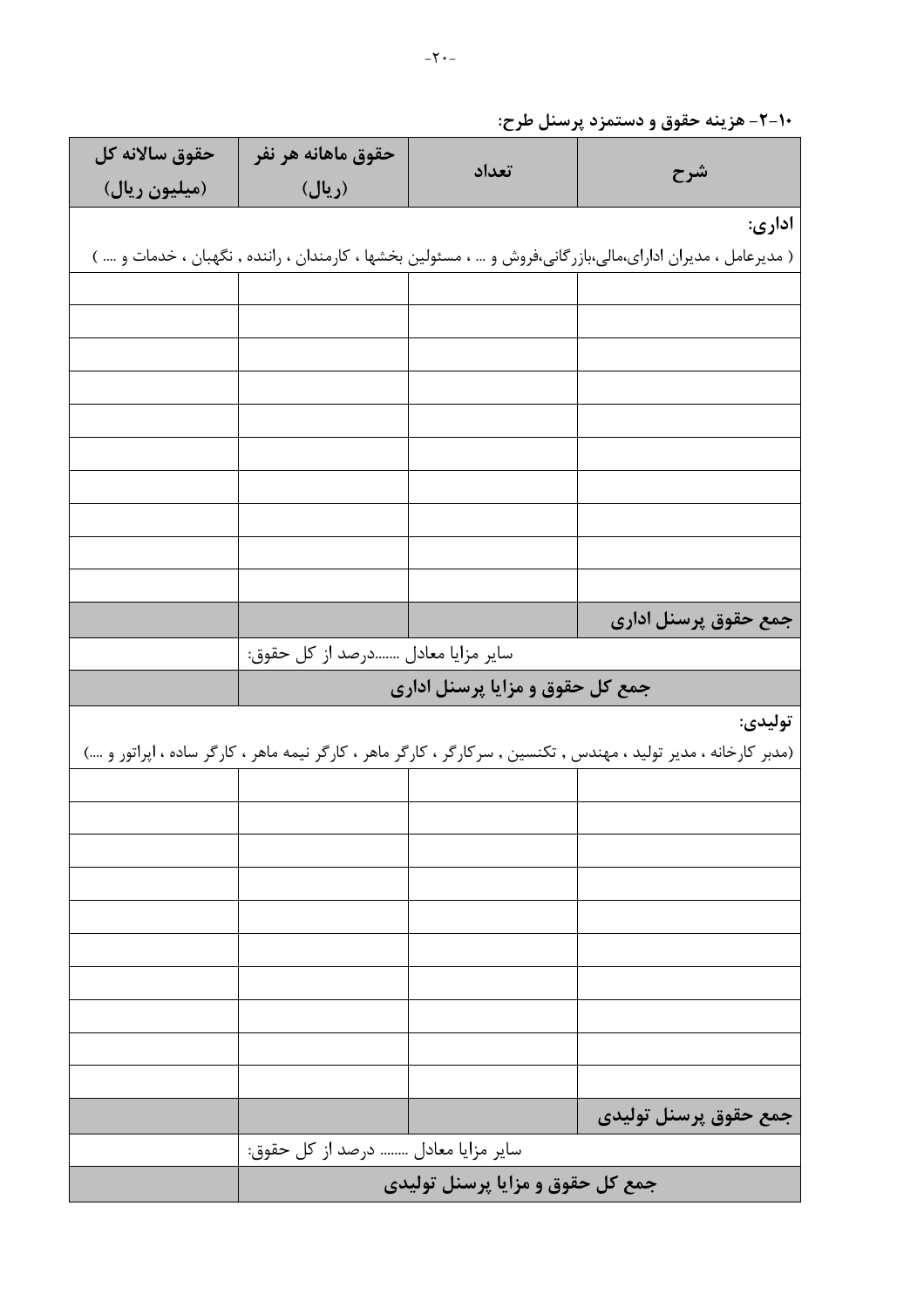| -۱+-۲- هزینه حقوق و دستمزد پرسنل طرح: |
|---------------------------------------|
|                                       |

| حقوق سالانه كل                    | حقوق ماهانه هر نفر                 |                                  |                                                                                                                   |  |  |  |  |
|-----------------------------------|------------------------------------|----------------------------------|-------------------------------------------------------------------------------------------------------------------|--|--|--|--|
| (میلیون ریال)                     | (ريال)                             | تعداد                            | شرح                                                                                                               |  |  |  |  |
|                                   |                                    |                                  | اداری:                                                                                                            |  |  |  |  |
|                                   |                                    |                                  | ( مدیرعامل ، مدیران ادارای،مالی،بازرگانی،فروش و … ، مسئولین بخشها ، کارمندان ، راننده , نگهبان ، خدمات و …. )     |  |  |  |  |
|                                   |                                    |                                  |                                                                                                                   |  |  |  |  |
|                                   |                                    |                                  |                                                                                                                   |  |  |  |  |
|                                   |                                    |                                  |                                                                                                                   |  |  |  |  |
|                                   |                                    |                                  |                                                                                                                   |  |  |  |  |
|                                   |                                    |                                  |                                                                                                                   |  |  |  |  |
|                                   |                                    |                                  |                                                                                                                   |  |  |  |  |
|                                   |                                    |                                  |                                                                                                                   |  |  |  |  |
|                                   |                                    |                                  |                                                                                                                   |  |  |  |  |
|                                   |                                    |                                  |                                                                                                                   |  |  |  |  |
|                                   |                                    |                                  |                                                                                                                   |  |  |  |  |
|                                   |                                    |                                  | جمع حقوق پرسنل اداری                                                                                              |  |  |  |  |
| سایر مزایا معادل درصد از کل حقوق: |                                    |                                  |                                                                                                                   |  |  |  |  |
|                                   |                                    |                                  |                                                                                                                   |  |  |  |  |
|                                   |                                    | جمع کل حقوق و مزایا پرسنل اداری  |                                                                                                                   |  |  |  |  |
|                                   |                                    |                                  | توليدي:                                                                                                           |  |  |  |  |
|                                   |                                    |                                  | (مدبر کارخانه ، مدیر تولید ، مهندس , تکنسین , سرکارگر ، کارگر ماهر ، کارگر نیمه ماهر ، کارگر ساده ، اپراتور و ….) |  |  |  |  |
|                                   |                                    |                                  |                                                                                                                   |  |  |  |  |
|                                   |                                    |                                  |                                                                                                                   |  |  |  |  |
|                                   |                                    |                                  |                                                                                                                   |  |  |  |  |
|                                   |                                    |                                  |                                                                                                                   |  |  |  |  |
|                                   |                                    |                                  |                                                                                                                   |  |  |  |  |
|                                   |                                    |                                  |                                                                                                                   |  |  |  |  |
|                                   |                                    |                                  |                                                                                                                   |  |  |  |  |
|                                   |                                    |                                  |                                                                                                                   |  |  |  |  |
|                                   |                                    |                                  |                                                                                                                   |  |  |  |  |
|                                   |                                    |                                  |                                                                                                                   |  |  |  |  |
|                                   |                                    |                                  | جمع حقوق پرسنل توليدي                                                                                             |  |  |  |  |
|                                   | سایر مزایا معادل  درصد از کل حقوق: | جمع کل حقوق و مزایا پرسنل تولیدی |                                                                                                                   |  |  |  |  |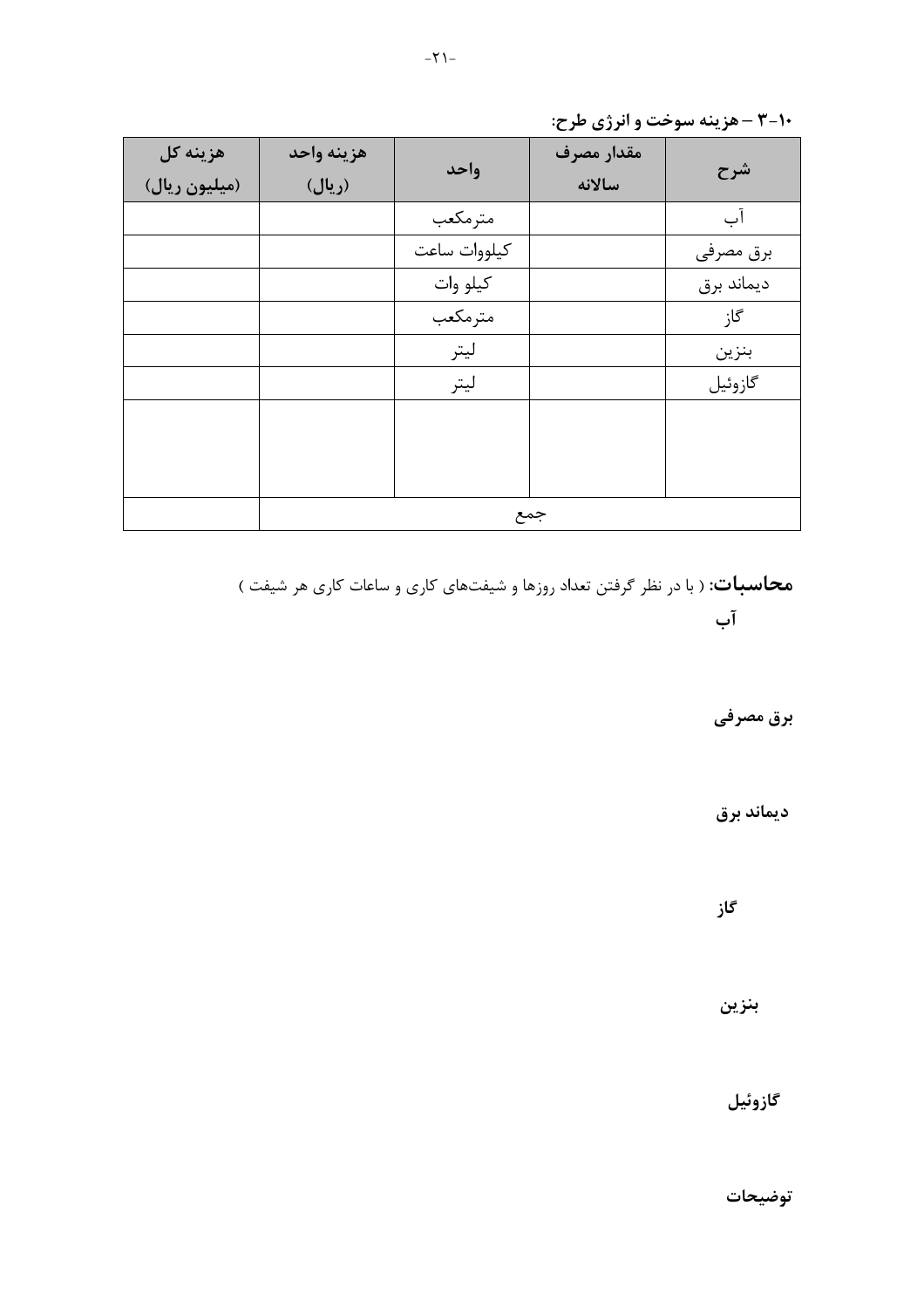| هزينه كل<br>(میلیون ریال) | هزينه واحد<br>(ريال) | واحد         | مقدار مصرف<br>سالانه | شرح        |
|---------------------------|----------------------|--------------|----------------------|------------|
|                           |                      | مترمكعب      |                      | آب         |
|                           |                      | كيلووات ساعت |                      | برق مصرفى  |
|                           |                      | كيلو وات     |                      | ديماند برق |
|                           |                      | مترمكعب      |                      | گاز        |
|                           |                      | ليتر         |                      | بنزين      |
|                           |                      | ليتر         |                      | گازوئيل    |
|                           |                      |              |                      |            |
|                           |                      |              |                      |            |
|                           |                      |              |                      |            |
|                           |                      |              | جمع                  |            |

**محاسبات**: ( با در نظر گرفتن تعداد روزها و شیفتهای کاری و ساعات کاری هر شیفت ) آب

برق مصرفی

ديماند برق

گاز

بنزين

گازوئيل

توضيحات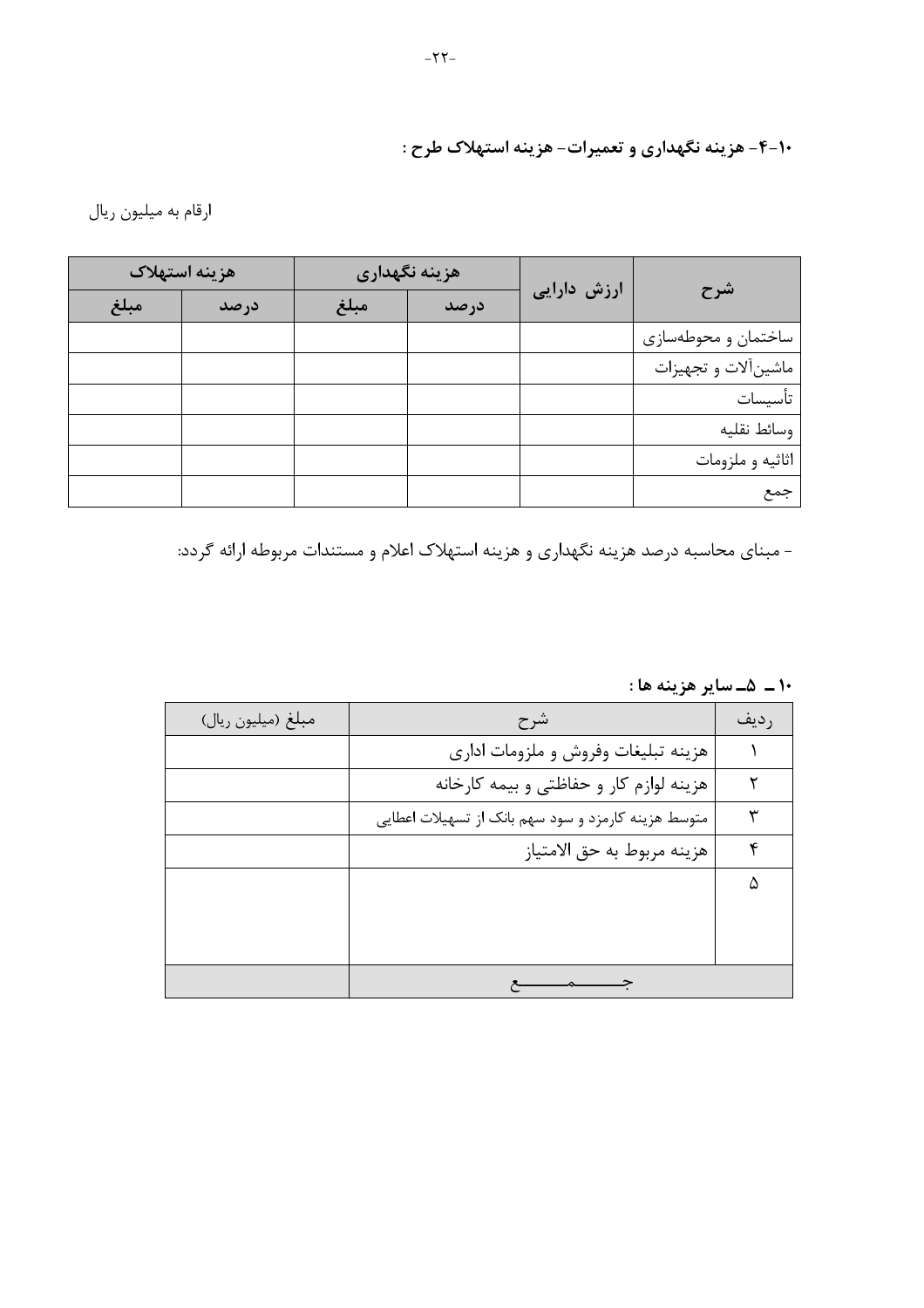۰۱-۴- هزینه نگهداری و تعمیرات- هزینه استهلاک طرح :

ارقام به میلیون ریال

|                      |             | هزينه نگهداري |      | هزينه استهلاك |      |  |
|----------------------|-------------|---------------|------|---------------|------|--|
| شرح                  | ارزش دارایی | درصد          | مبلغ | درصد          | مبلغ |  |
| ساختمان و محوطهسازی  |             |               |      |               |      |  |
| ماشين آلات و تجهيزات |             |               |      |               |      |  |
| تأسيسات              |             |               |      |               |      |  |
| وسائط نقليه          |             |               |      |               |      |  |
| اثاثيه و ملزومات     |             |               |      |               |      |  |
| جمع                  |             |               |      |               |      |  |

- مبنای محاسبه درصد هزینه نگهداری و هزینه استهلاک اعلام و مستندات مربوطه ارائه گردد:

١٠ ــ ۵ــ ساير هزينه ها :

| مبلغ (ميليون ريال) | شرح                                                 | ر دیف |
|--------------------|-----------------------------------------------------|-------|
|                    | هزينه تبليغات وفروش و ملزومات ادارى                 |       |
|                    | هزینه لوازم کار و حفاظتی و بیمه کارخانه             |       |
|                    | متوسط هزينه كارمزد و سود سهم بانک از تسهيلات اعطايي |       |
|                    | هزينه مربوط به حق الامتياز                          | ۴     |
|                    |                                                     | ۵     |
|                    |                                                     |       |
|                    |                                                     |       |
|                    |                                                     |       |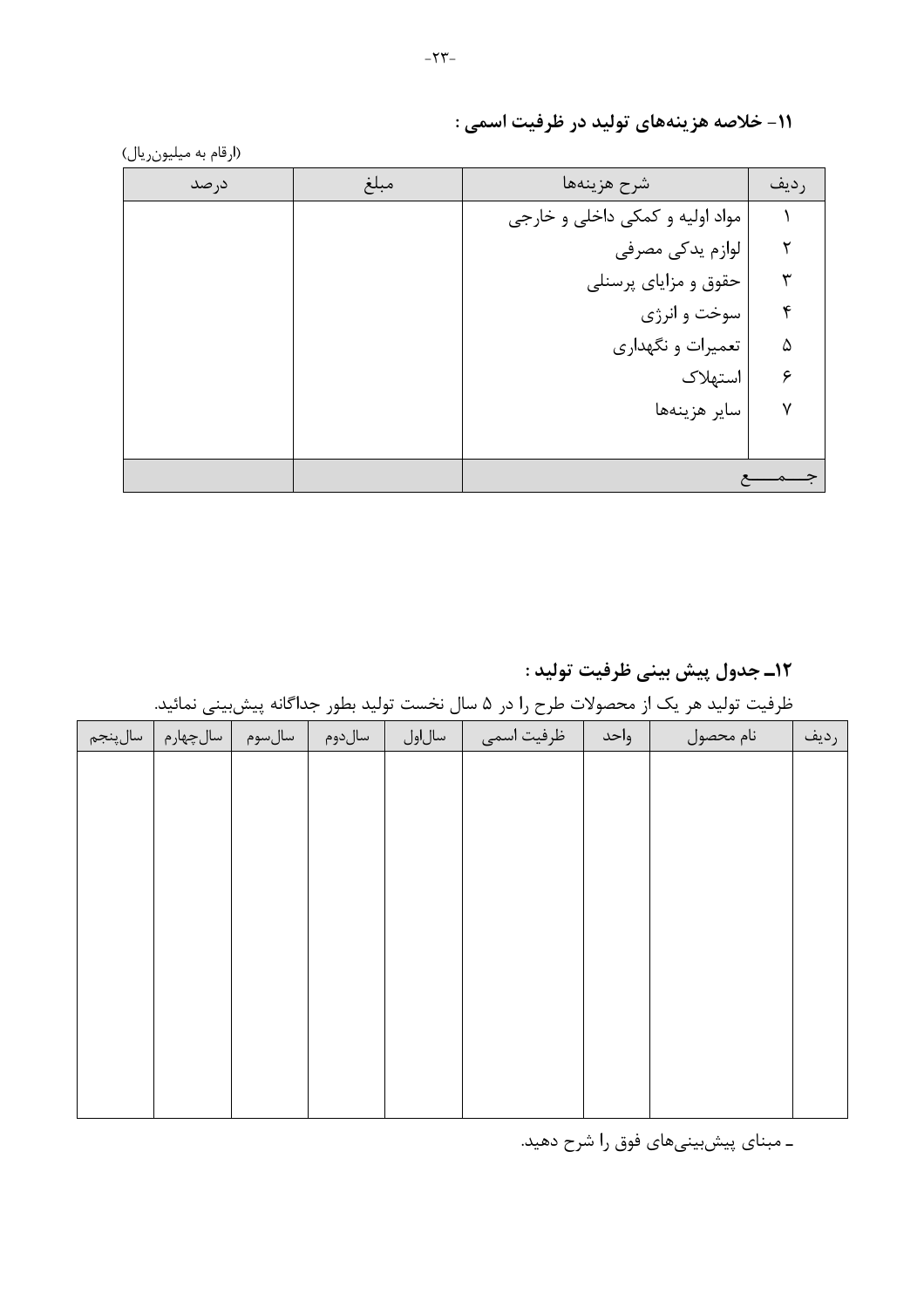| درصد | مبلغ | شرح هزينهها                     | رديف |
|------|------|---------------------------------|------|
|      |      | مواد اولیه و کمکی داخلی و خارجی |      |
|      |      | لوازم يدكى مصرفى                |      |
|      |      | حقوق و مزایای پرسنلی            |      |
|      |      | سوخت و انرژی                    | ۴    |
|      |      | تعمیرات و نگهداری               | ۵    |
|      |      | استهلاک                         | ۶    |
|      |      | ساير هزينهها                    | ٧    |
|      |      |                                 |      |
|      |      |                                 |      |

۱۱- خلاصه هزینههای تولید در ظرفیت اسمی :

١٢ـ جدول پيش بيني ظرفيت توليد :

ظرفیت تولید هر یک از محصولات طرح را در ۵ سال نخست تولید بطور جداگانه پیش بینی نمائید.

|          |          | $\cdot$ . | --     |        | $\sim$ $\sim$ $\sim$ | $\overline{\phantom{a}}$ | $\overline{\phantom{a}}$<br>- |      |
|----------|----------|-----------|--------|--------|----------------------|--------------------------|-------------------------------|------|
| سال پنجم | سالچهارم | سالسوم    | سالدوم | سالاول | ظرفيت اسمى           | واحد                     | نام محصول                     | رديف |
|          |          |           |        |        |                      |                          |                               |      |
|          |          |           |        |        |                      |                          |                               |      |
|          |          |           |        |        |                      |                          |                               |      |
|          |          |           |        |        |                      |                          |                               |      |
|          |          |           |        |        |                      |                          |                               |      |
|          |          |           |        |        |                      |                          |                               |      |
|          |          |           |        |        |                      |                          |                               |      |
|          |          |           |        |        |                      |                          |                               |      |
|          |          |           |        |        |                      |                          |                               |      |
|          |          |           |        |        |                      |                          |                               |      |
|          |          |           |        |        |                      |                          |                               |      |
|          |          |           |        |        |                      |                          |                               |      |

ـ مبنای پیشبینیهای فوق را شرح دهید.

(ارقام به میلیونریال)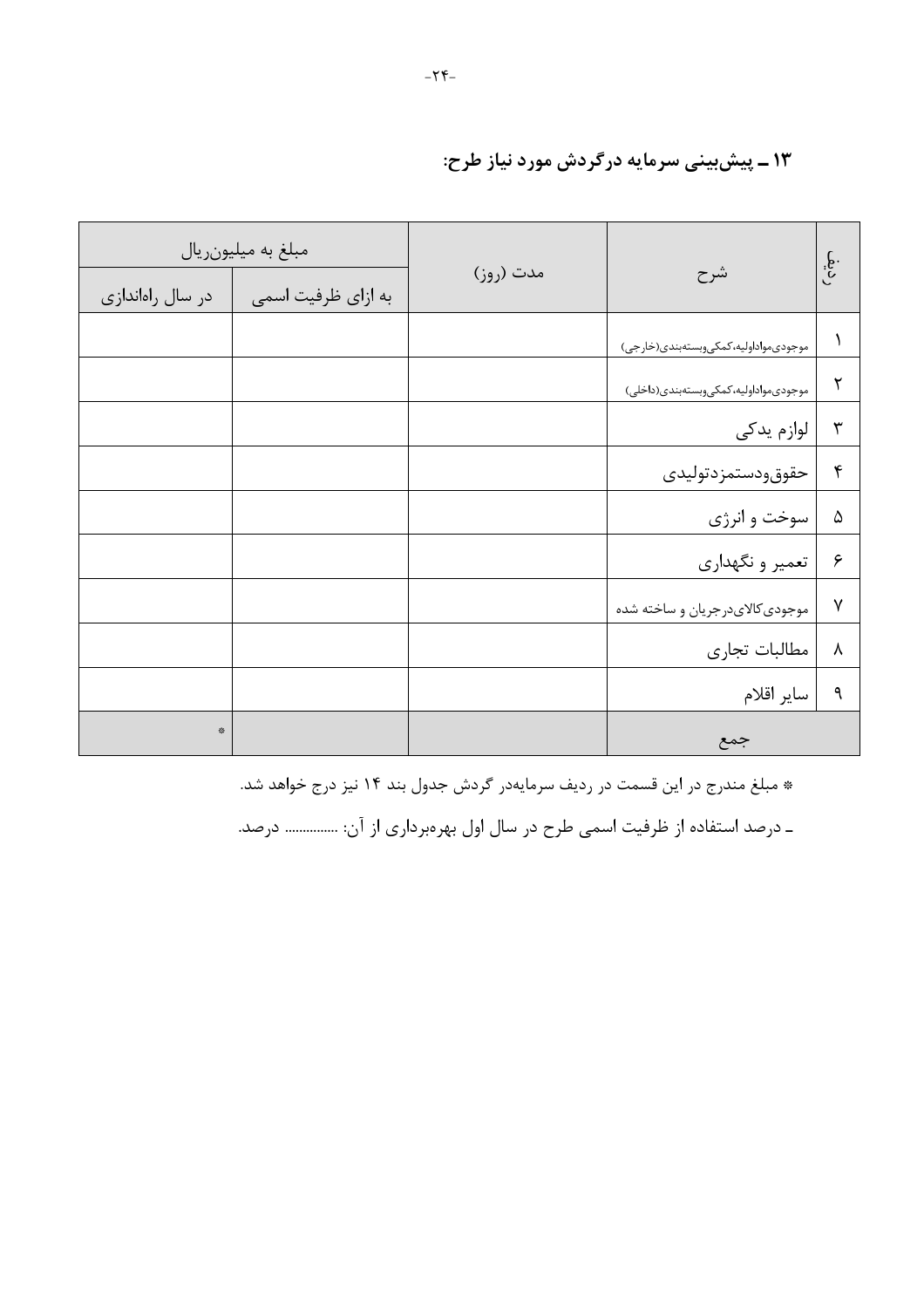### ۱۳ ـ پیش بینی سرمایه درگردش مورد نیاز طرح:

|                  | مبلغ به میلیون ریال |           |                                          | $\int\limits_{\mathcal{C}}$ |  |
|------------------|---------------------|-----------|------------------------------------------|-----------------------------|--|
| در سال راهاندازی | به ازای ظرفیت اسمی  | مدت (روز) | شرح                                      |                             |  |
|                  |                     |           | موجودي مواداوليه، كمكي وبستهبندي (خارجي) |                             |  |
|                  |                     |           | موجودىمواداوليه، كمكى وبستهبندى(داخلى)   | ٢                           |  |
|                  |                     |           | لوازم يدكى                               | ٣                           |  |
|                  |                     |           | حقوق ودستمز دتوليدى                      | $\mathbf f$                 |  |
|                  |                     |           | سوخت و انرژى                             | ۵                           |  |
|                  |                     |           | تعمیر و نگهداری                          | ۶                           |  |
|                  |                     |           | موجودي كالايدرجريان و ساخته شده          | $\mathsf{V}$                |  |
|                  |                     |           | مطالبات تجارى                            | $\lambda$                   |  |
|                  |                     |           | ساير اقلام                               | ٩                           |  |
| $\mathcal{L}$    |                     |           | جمع                                      |                             |  |

\* مبلغ مندرج در این قسمت در ردیف سرمایهدر گردش جدول بند ۱۴ نیز درج خواهد شد.

ـ درصد استفاده از ظرفیت اسمی طرح در سال اول بهرهبرداری از آن: ............... درصد.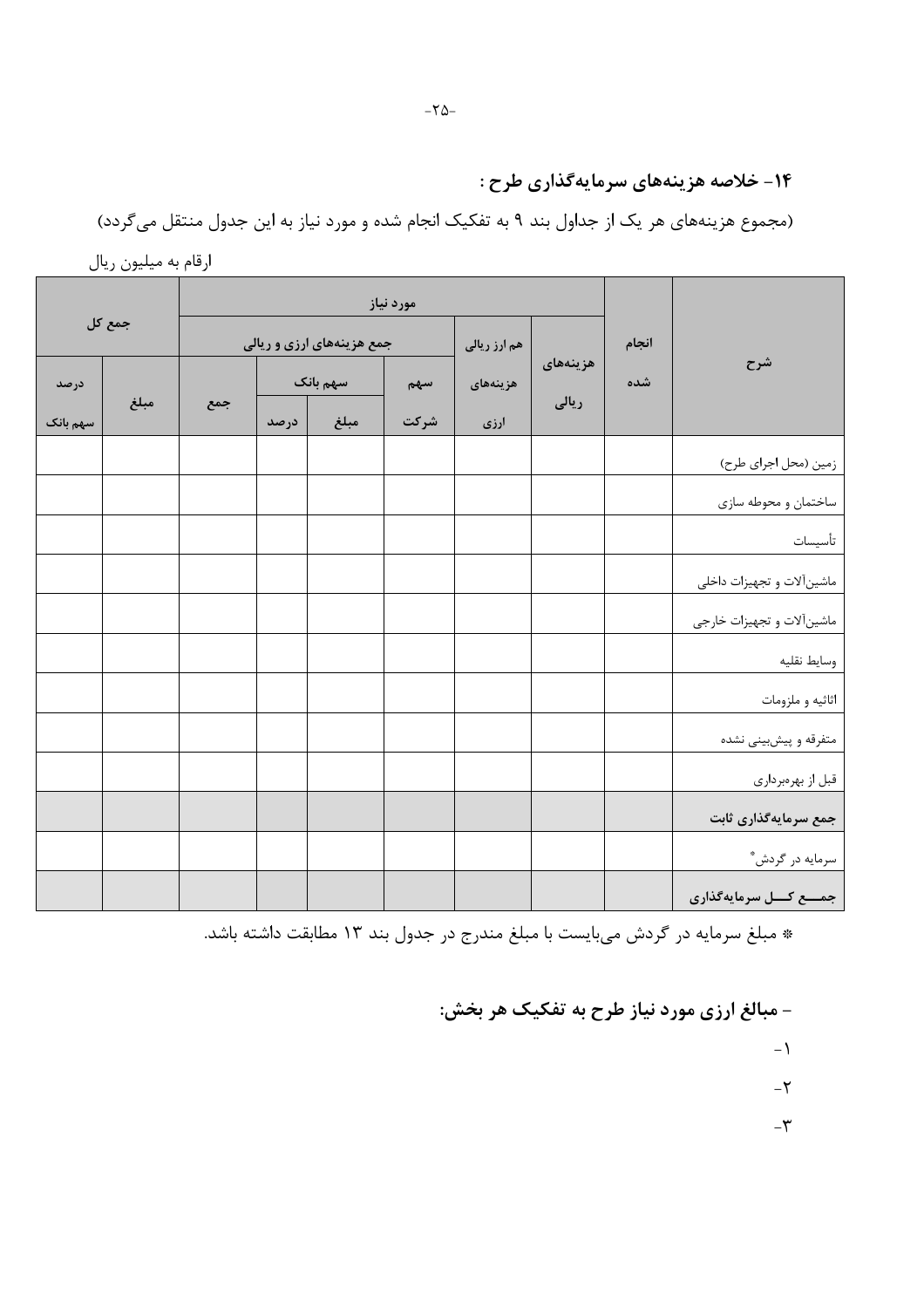## ۱۴- خلاصه هزینههای سرمایهگذاری طرح :

(مجموع هزینههای هر یک از جداول بند ۹ به تفکیک انجام شده و مورد نیاز به این جدول منتقل میگردد)

|                                             |       |          |              |      |                           |      |     |        | - 200 m  |
|---------------------------------------------|-------|----------|--------------|------|---------------------------|------|-----|--------|----------|
|                                             |       |          |              |      |                           |      |     |        |          |
|                                             | انجام |          | هم ارز ریالی |      | جمع هزینههای ارزی و ریالی |      |     | جمع کل |          |
| شرح                                         | شده   | هزينههاى | هزينههاى     | سهم  | سهم بانک                  |      |     |        | درصد     |
|                                             |       | ریالی    | ارزی         | شركت | مبلغ                      | درصد | جمع | مبلغ   | سهم بانک |
| زمین (محل اجرای طرح)                        |       |          |              |      |                           |      |     |        |          |
| ساختمان و محوطه سازي                        |       |          |              |      |                           |      |     |        |          |
| تأسيسات                                     |       |          |              |      |                           |      |     |        |          |
| ماشینآلات و تجهیزات داخلی                   |       |          |              |      |                           |      |     |        |          |
| ماشین آلات و تجهیزات خارجی                  |       |          |              |      |                           |      |     |        |          |
| وسايط نقليه                                 |       |          |              |      |                           |      |     |        |          |
| اثاثيه و ملزومات                            |       |          |              |      |                           |      |     |        |          |
|                                             |       |          |              |      |                           |      |     |        |          |
| متفرقه و پیشبینی نشده                       |       |          |              |      |                           |      |     |        |          |
| قبل از بهرهبرداری                           |       |          |              |      |                           |      |     |        |          |
| جمع سرمایهگذاری ثابت                        |       |          |              |      |                           |      |     |        |          |
| سرمایه در گردش*<br>جمـــع کـــل سرمایهگذاری |       |          |              |      |                           |      |     |        |          |
|                                             |       |          |              |      |                           |      |     |        |          |

ارقام به میلیون ریال

\* مبلغ سرمایه در گردش میبایست با مبلغ مندرج در جدول بند ۱۳ مطابقت داشته باشد.

- مبالغ ارزی مورد نیاز طرح به تفکیک هر بخش:

 $-1$ 

 $-\mathbf{Y}$ 

 $-\mathbf{\tilde{r}}$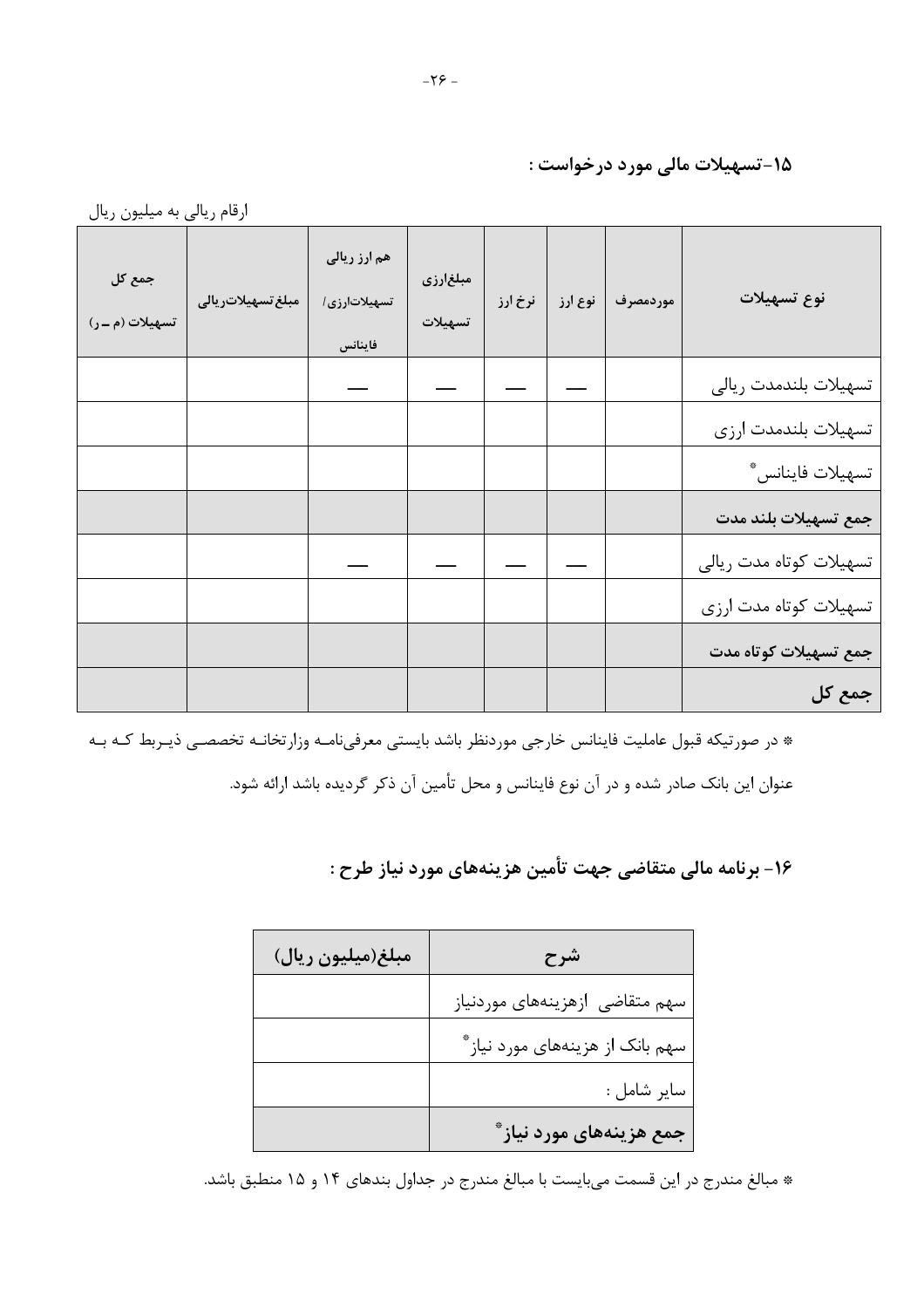۰۵-تسهیلات مالی مورد درخواست :

| نوع تسهيلات             | موردمصرف | نوع ارز | نرخ ارز | مبلغارزي<br>تسهيلات | هم ارز ریالی<br>تسهیلاتارزی/<br>فاينانس | مبلغ تسهيلاتر يال <i>ي</i> | جمع کل<br>تسهيلات (م ـ ر) |
|-------------------------|----------|---------|---------|---------------------|-----------------------------------------|----------------------------|---------------------------|
| تسهيلات بلندمدت ريالي   |          |         |         |                     |                                         |                            |                           |
| تسهيلات بلندمدت ارزى    |          |         |         |                     |                                         |                            |                           |
| تسهيلات فاينانس*        |          |         |         |                     |                                         |                            |                           |
| جمع تسهيلات بلند مدت    |          |         |         |                     |                                         |                            |                           |
| تسهيلات كوتاه مدت ريالي |          |         |         |                     |                                         |                            |                           |
| تسهيلات كوتاه مدت ارزى  |          |         |         |                     |                                         |                            |                           |
| جمع تسهيلات كوتاه مدت   |          |         |         |                     |                                         |                            |                           |
| جمع کل                  |          |         |         |                     |                                         |                            |                           |

\* در صورتیکه قبول عاملیت فاینانس خارجی موردنظر باشد بایستی معرفیiامـه وزارتخانـه تخصصـی ذیـربط کـه بـه عنوان این بانک صادر شده و در آن نوع فاینانس و محل تأمین آن ذکر گردیده باشد ارائه شود.

۱۶- برنامه مالی متقاضی جهت تأمین هزینههای مورد نیاز طرح :

| مبلغ(میلیون ریال) | شرح                              |
|-------------------|----------------------------------|
|                   | سهم متقاضى ازهزينههاى موردنياز   |
|                   | سهم بانک از هزینههای مورد نیاز ٌ |
|                   | ساير شامل :                      |
|                   | جمع هزینههای مورد نیاز ٌ         |

\* مبالغ مندرج در این قسمت میبایست با مبالغ مندرج در جداول بندهای ۱۴ و ۱۵ منطبق باشد.

ارقام ریالی به میلیون ریال